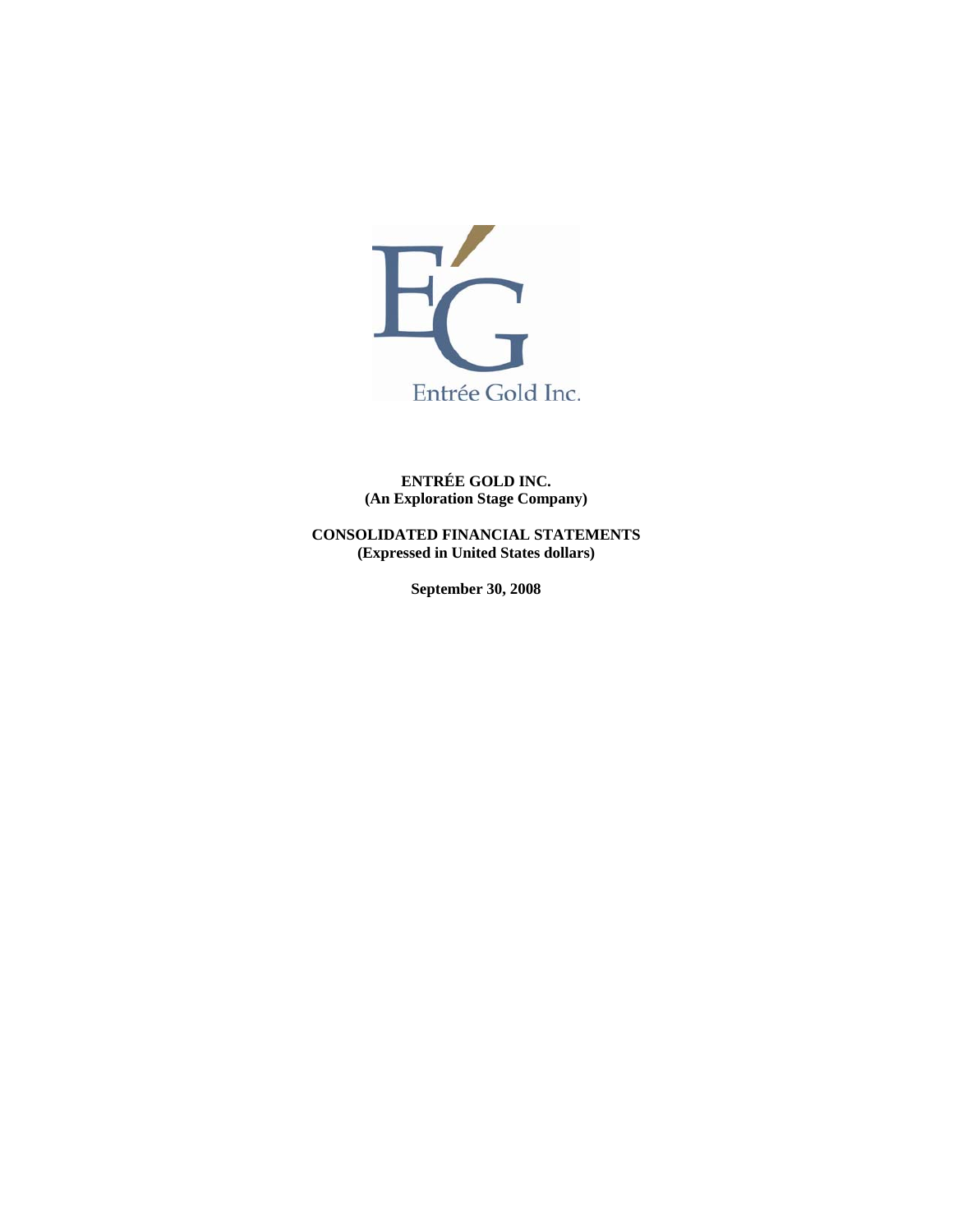

**ENTRÉE GOLD INC. (An Exploration Stage Company)** 

**CONSOLIDATED FINANCIAL STATEMENTS (Expressed in United States dollars)** 

**September 30, 2008**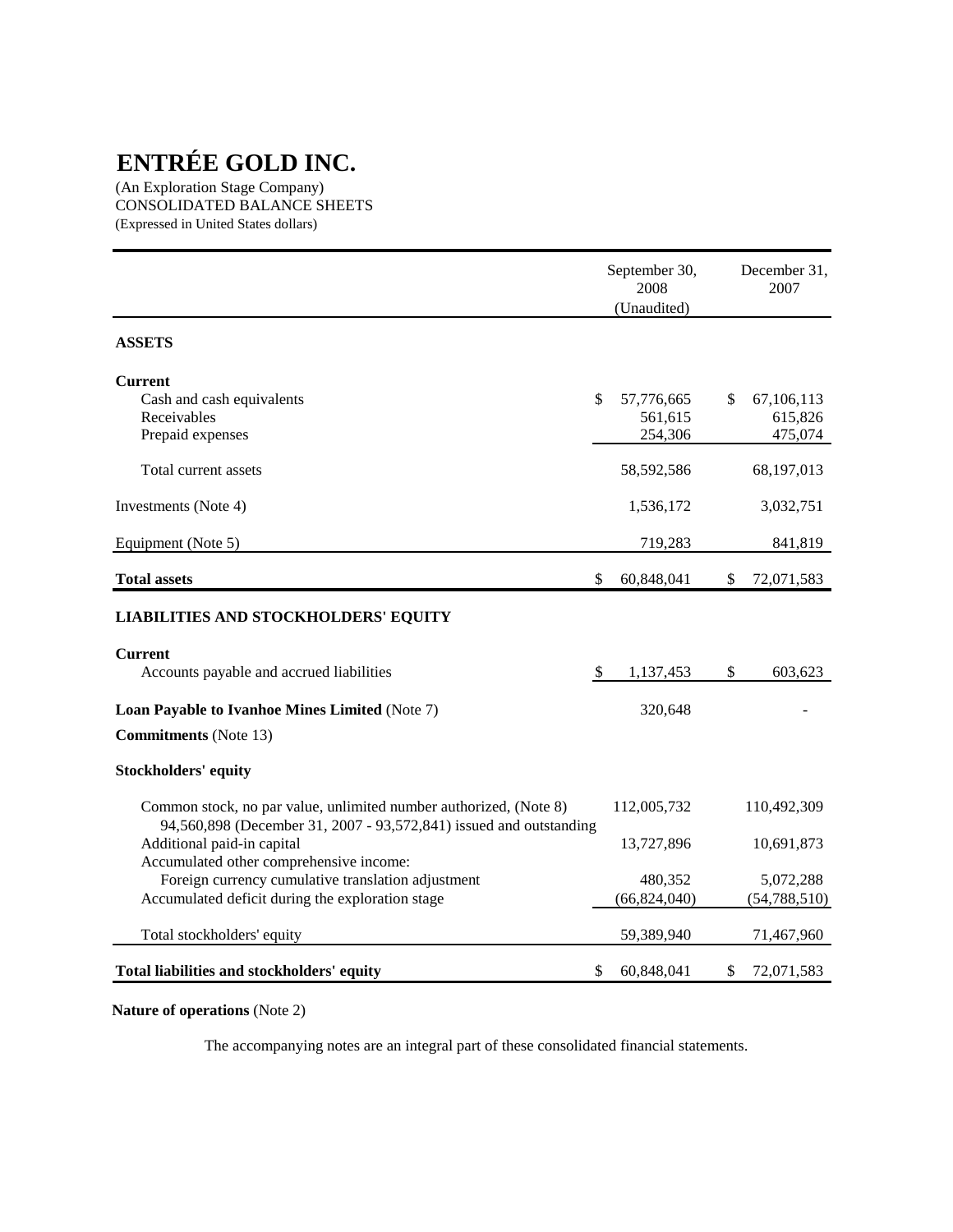(An Exploration Stage Company) CONSOLIDATED BALANCE SHEETS (Expressed in United States dollars)

|                                                                                                                                         | September 30,<br>2008<br>(Unaudited) | December 31,<br>2007             |                                          |
|-----------------------------------------------------------------------------------------------------------------------------------------|--------------------------------------|----------------------------------|------------------------------------------|
| <b>ASSETS</b>                                                                                                                           |                                      |                                  |                                          |
| <b>Current</b><br>Cash and cash equivalents<br>Receivables<br>Prepaid expenses                                                          | \$                                   | 57,776,665<br>561,615<br>254,306 | \$<br>67, 106, 113<br>615,826<br>475,074 |
| Total current assets                                                                                                                    |                                      | 58,592,586                       | 68,197,013                               |
| Investments (Note 4)                                                                                                                    |                                      | 1,536,172                        | 3,032,751                                |
| Equipment (Note 5)                                                                                                                      |                                      | 719,283                          | 841,819                                  |
| <b>Total assets</b>                                                                                                                     | \$                                   | 60,848,041                       | \$<br>72,071,583                         |
| <b>LIABILITIES AND STOCKHOLDERS' EQUITY</b>                                                                                             |                                      |                                  |                                          |
| <b>Current</b><br>Accounts payable and accrued liabilities                                                                              | \$                                   | 1,137,453                        | \$<br>603,623                            |
| <b>Loan Payable to Ivanhoe Mines Limited (Note 7)</b>                                                                                   |                                      | 320,648                          |                                          |
| <b>Commitments</b> (Note 13)                                                                                                            |                                      |                                  |                                          |
| <b>Stockholders' equity</b>                                                                                                             |                                      |                                  |                                          |
| Common stock, no par value, unlimited number authorized, (Note 8)<br>94,560,898 (December 31, 2007 - 93,572,841) issued and outstanding |                                      | 112,005,732                      | 110,492,309                              |
| Additional paid-in capital<br>Accumulated other comprehensive income:                                                                   |                                      | 13,727,896                       | 10,691,873                               |
| Foreign currency cumulative translation adjustment                                                                                      |                                      | 480,352                          | 5,072,288                                |
| Accumulated deficit during the exploration stage                                                                                        |                                      | (66, 824, 040)                   | (54, 788, 510)                           |
| Total stockholders' equity                                                                                                              |                                      | 59,389,940                       | 71,467,960                               |
| Total liabilities and stockholders' equity                                                                                              | \$                                   | 60,848,041                       | \$<br>72,071,583                         |

# **Nature of operations** (Note 2)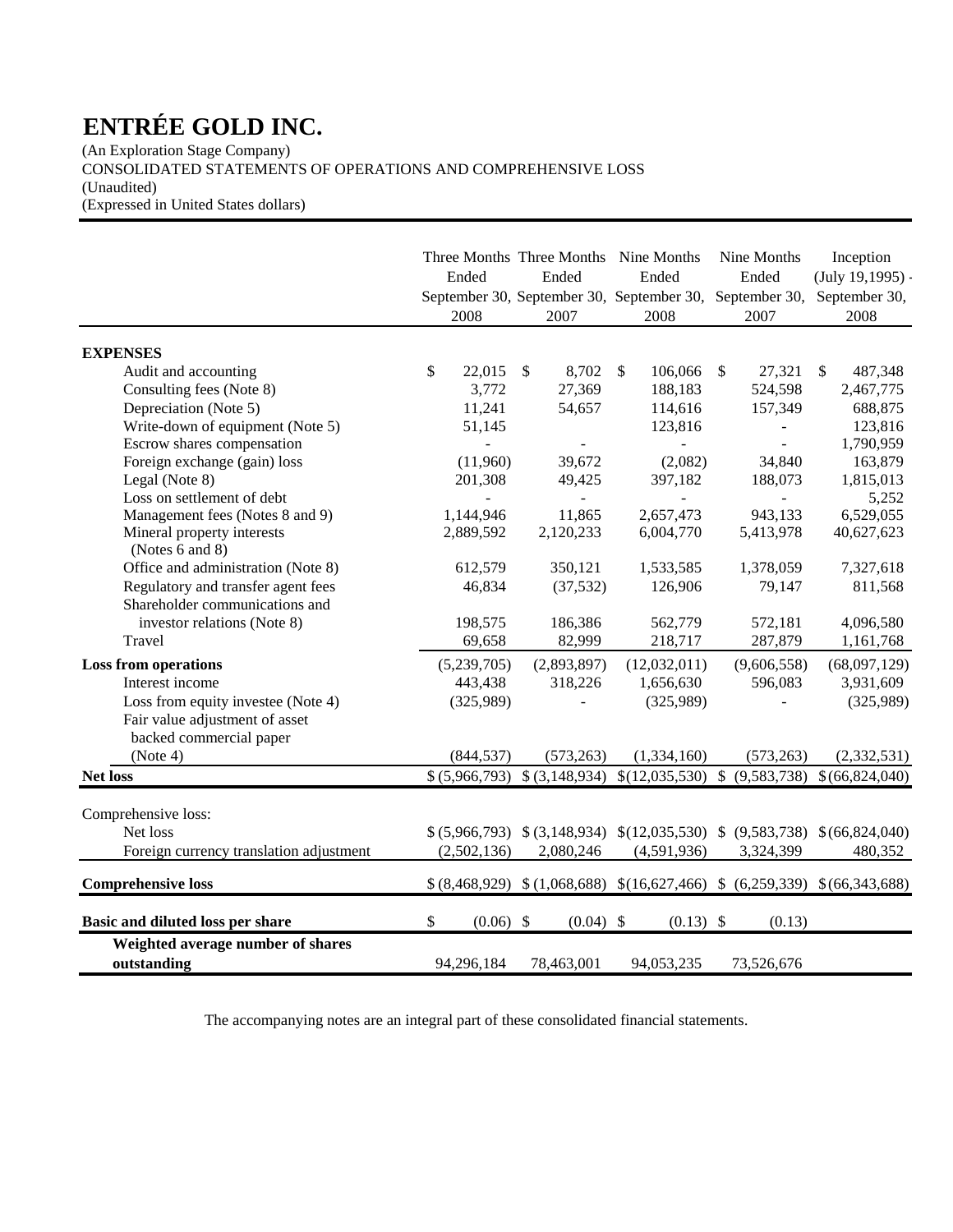(An Exploration Stage Company) CONSOLIDATED STATEMENTS OF OPERATIONS AND COMPREHENSIVE LOSS

(Unaudited)

(Expressed in United States dollars)

|                                                  | Ended             | Three Months Three Months Nine Months<br>Ended | Ended<br>September 30, September 30, September 30,        | Nine Months<br>Ended<br>September 30, | Inception<br>$(July 19, 1995) -$<br>September 30,                        |
|--------------------------------------------------|-------------------|------------------------------------------------|-----------------------------------------------------------|---------------------------------------|--------------------------------------------------------------------------|
|                                                  | 2008              | 2007                                           | 2008                                                      | 2007                                  | 2008                                                                     |
| <b>EXPENSES</b>                                  |                   |                                                |                                                           |                                       |                                                                          |
| Audit and accounting                             | \$<br>22,015      | $\mathcal{S}$<br>8,702                         | 106,066<br>$\mathcal{S}$                                  | $\sqrt$<br>27,321                     | S.<br>487,348                                                            |
| Consulting fees (Note 8)                         | 3,772             | 27,369                                         | 188,183                                                   | 524,598                               | 2,467,775                                                                |
| Depreciation (Note 5)                            | 11,241            | 54,657                                         | 114,616                                                   | 157,349                               | 688,875                                                                  |
| Write-down of equipment (Note 5)                 | 51,145            |                                                | 123,816                                                   |                                       | 123,816                                                                  |
| Escrow shares compensation                       |                   |                                                |                                                           |                                       | 1,790,959                                                                |
| Foreign exchange (gain) loss                     | (11,960)          | 39,672                                         | (2,082)                                                   | 34,840                                | 163,879                                                                  |
| Legal (Note 8)                                   | 201,308           | 49,425                                         | 397,182                                                   | 188,073                               | 1,815,013                                                                |
| Loss on settlement of debt                       | ÷                 | $\frac{1}{2}$                                  | $\blacksquare$                                            | $\blacksquare$                        | 5,252                                                                    |
| Management fees (Notes 8 and 9)                  | 1,144,946         | 11,865                                         | 2,657,473                                                 | 943,133                               | 6,529,055                                                                |
| Mineral property interests<br>(Notes 6 and 8)    | 2,889,592         | 2,120,233                                      | 6,004,770                                                 | 5,413,978                             | 40,627,623                                                               |
| Office and administration (Note 8)               | 612,579           | 350,121                                        | 1,533,585                                                 | 1,378,059                             | 7,327,618                                                                |
| Regulatory and transfer agent fees               | 46,834            | (37, 532)                                      | 126,906                                                   | 79,147                                | 811,568                                                                  |
| Shareholder communications and                   |                   |                                                |                                                           |                                       |                                                                          |
| investor relations (Note 8)                      | 198,575           | 186,386                                        | 562,779                                                   | 572,181                               | 4,096,580                                                                |
| Travel                                           | 69,658            | 82,999                                         | 218,717                                                   | 287,879                               | 1,161,768                                                                |
| <b>Loss from operations</b>                      | (5,239,705)       | (2,893,897)                                    | (12,032,011)                                              | (9,606,558)                           | (68,097,129)                                                             |
| Interest income                                  | 443,438           | 318,226                                        | 1,656,630                                                 | 596,083                               | 3,931,609                                                                |
| Loss from equity investee (Note 4)               | (325,989)         |                                                | (325,989)                                                 |                                       | (325,989)                                                                |
| Fair value adjustment of asset                   |                   |                                                |                                                           |                                       |                                                                          |
| backed commercial paper                          |                   |                                                |                                                           |                                       |                                                                          |
| (Note 4)                                         | (844, 537)        | (573, 263)                                     | (1,334,160)                                               | (573, 263)                            | (2, 332, 531)                                                            |
| <b>Net loss</b>                                  | \$ (5,966,793)    |                                                |                                                           |                                       | $$(3,148,934) \$(12,035,530) \$(9,583,738) \$(66,824,040)$               |
| Comprehensive loss:                              |                   |                                                |                                                           |                                       |                                                                          |
| Net loss                                         |                   |                                                | $$(5,966,793) \$(3,148,934) \$(12,035,530) \$(9,583,738)$ |                                       | \$(66,824,040)                                                           |
| Foreign currency translation adjustment          | (2,502,136)       | 2,080,246                                      | (4,591,936)                                               | 3,324,399                             | 480,352                                                                  |
|                                                  |                   |                                                |                                                           |                                       |                                                                          |
| <b>Comprehensive loss</b>                        |                   |                                                |                                                           |                                       | $$(8,468,929) \$(1,068,688) \$(16,627,466) \$(6,259,339) \$(66,343,688)$ |
| Basic and diluted loss per share                 | \$<br>$(0.06)$ \$ | $(0.04)$ \$                                    | $(0.13)$ \$                                               | (0.13)                                |                                                                          |
| Weighted average number of shares<br>outstanding | 94,296,184        | 78,463,001                                     | 94,053,235                                                | 73,526,676                            |                                                                          |
|                                                  |                   |                                                |                                                           |                                       |                                                                          |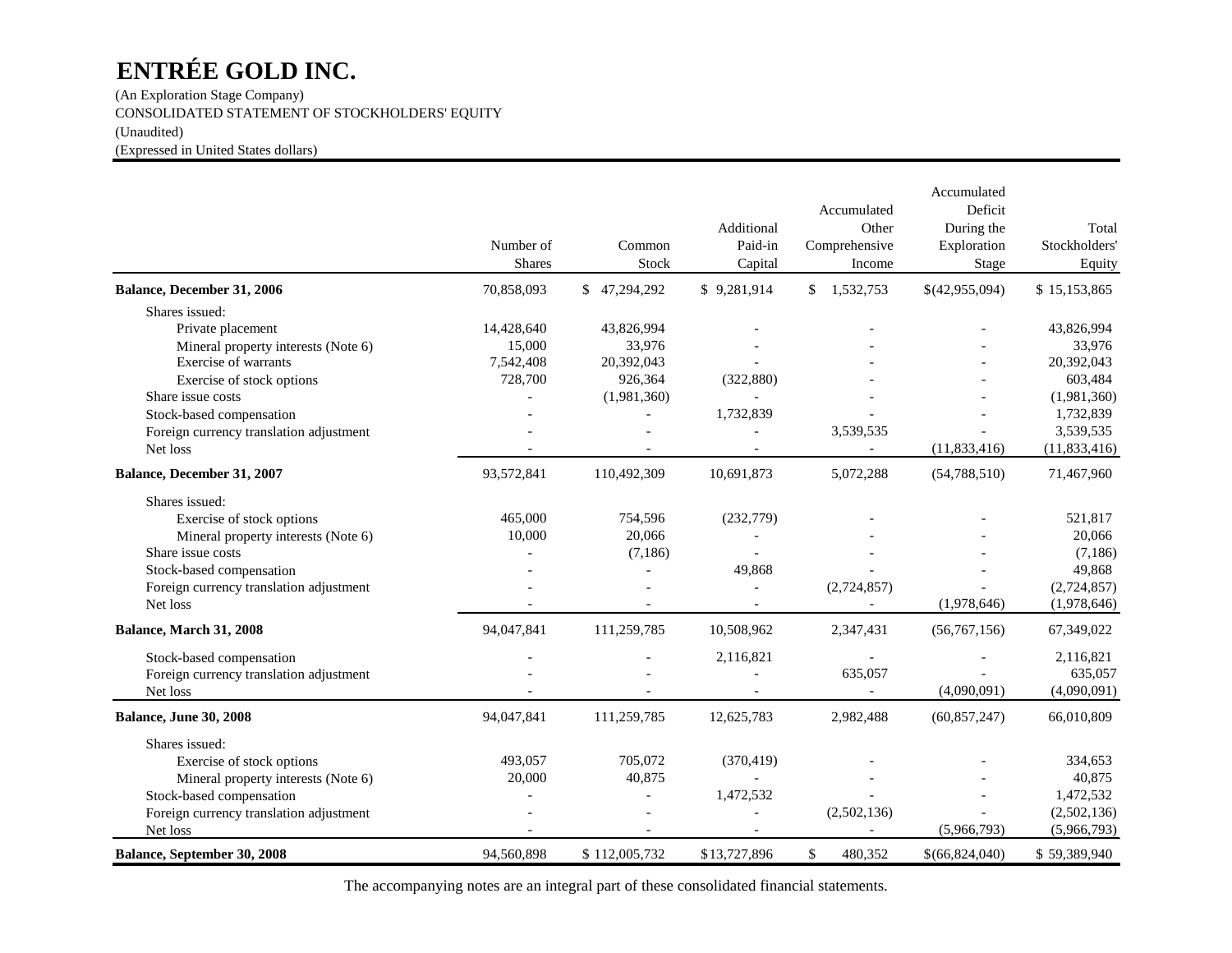(An Exploration Stage Company) CONSOLIDATED STATEMENT OF STOCKHOLDERS' EQUITY (Unaudited) (Expressed in United States dollars)

|                                         | Number of<br><b>Shares</b> | Common<br>Stock | Additional<br>Paid-in<br>Capital | Accumulated<br>Other<br>Comprehensive<br>Income | Accumulated<br>Deficit<br>During the<br>Exploration<br>Stage | Total<br>Stockholders'<br>Equity |
|-----------------------------------------|----------------------------|-----------------|----------------------------------|-------------------------------------------------|--------------------------------------------------------------|----------------------------------|
| Balance, December 31, 2006              | 70,858,093                 | \$47,294,292    | \$9,281,914                      | \$1,532,753                                     | \$(42,955,094)                                               | \$15,153,865                     |
| Shares issued:                          |                            |                 |                                  |                                                 |                                                              |                                  |
| Private placement                       | 14,428,640                 | 43,826,994      |                                  |                                                 |                                                              | 43,826,994                       |
| Mineral property interests (Note 6)     | 15,000                     | 33,976          |                                  |                                                 |                                                              | 33,976                           |
| Exercise of warrants                    | 7,542,408                  | 20,392,043      |                                  |                                                 |                                                              | 20,392,043                       |
| Exercise of stock options               | 728,700                    | 926,364         | (322, 880)                       |                                                 |                                                              | 603,484                          |
| Share issue costs                       |                            | (1,981,360)     |                                  |                                                 |                                                              | (1,981,360)                      |
| Stock-based compensation                |                            |                 | 1,732,839                        |                                                 |                                                              | 1,732,839                        |
| Foreign currency translation adjustment |                            |                 |                                  | 3,539,535                                       |                                                              | 3,539,535                        |
| Net loss                                |                            |                 |                                  | $\overline{a}$                                  | (11, 833, 416)                                               | (11, 833, 416)                   |
| Balance, December 31, 2007              | 93,572,841                 | 110,492,309     | 10,691,873                       | 5,072,288                                       | (54, 788, 510)                                               | 71,467,960                       |
| Shares issued:                          |                            |                 |                                  |                                                 |                                                              |                                  |
| Exercise of stock options               | 465,000                    | 754,596         | (232,779)                        |                                                 |                                                              | 521,817                          |
| Mineral property interests (Note 6)     | 10,000                     | 20,066          |                                  |                                                 |                                                              | 20,066                           |
| Share issue costs                       |                            | (7,186)         |                                  |                                                 |                                                              | (7,186)                          |
| Stock-based compensation                |                            |                 | 49,868                           |                                                 |                                                              | 49,868                           |
| Foreign currency translation adjustment |                            |                 |                                  | (2,724,857)                                     |                                                              | (2,724,857)                      |
| Net loss                                |                            |                 |                                  | $\overline{a}$                                  | (1,978,646)                                                  | (1,978,646)                      |
| Balance, March 31, 2008                 | 94,047,841                 | 111,259,785     | 10,508,962                       | 2,347,431                                       | (56,767,156)                                                 | 67,349,022                       |
| Stock-based compensation                |                            |                 | 2,116,821                        |                                                 |                                                              | 2,116,821                        |
| Foreign currency translation adjustment |                            |                 |                                  | 635,057                                         |                                                              | 635,057                          |
| Net loss                                |                            |                 |                                  |                                                 | (4,090,091)                                                  | (4,090,091)                      |
| <b>Balance, June 30, 2008</b>           | 94,047,841                 | 111,259,785     | 12,625,783                       | 2,982,488                                       | (60, 857, 247)                                               | 66,010,809                       |
| Shares issued:                          |                            |                 |                                  |                                                 |                                                              |                                  |
| Exercise of stock options               | 493,057                    | 705,072         | (370, 419)                       |                                                 |                                                              | 334,653                          |
| Mineral property interests (Note 6)     | 20,000                     | 40,875          |                                  |                                                 |                                                              | 40,875                           |
| Stock-based compensation                |                            | $\overline{a}$  | 1,472,532                        |                                                 |                                                              | 1,472,532                        |
| Foreign currency translation adjustment |                            |                 |                                  | (2,502,136)                                     |                                                              | (2,502,136)                      |
| Net loss                                |                            |                 |                                  |                                                 | (5,966,793)                                                  | (5,966,793)                      |
| Balance, September 30, 2008             | 94,560,898                 | \$112,005,732   | \$13,727,896                     | \$<br>480,352                                   | \$(66,824,040)                                               | \$59,389,940                     |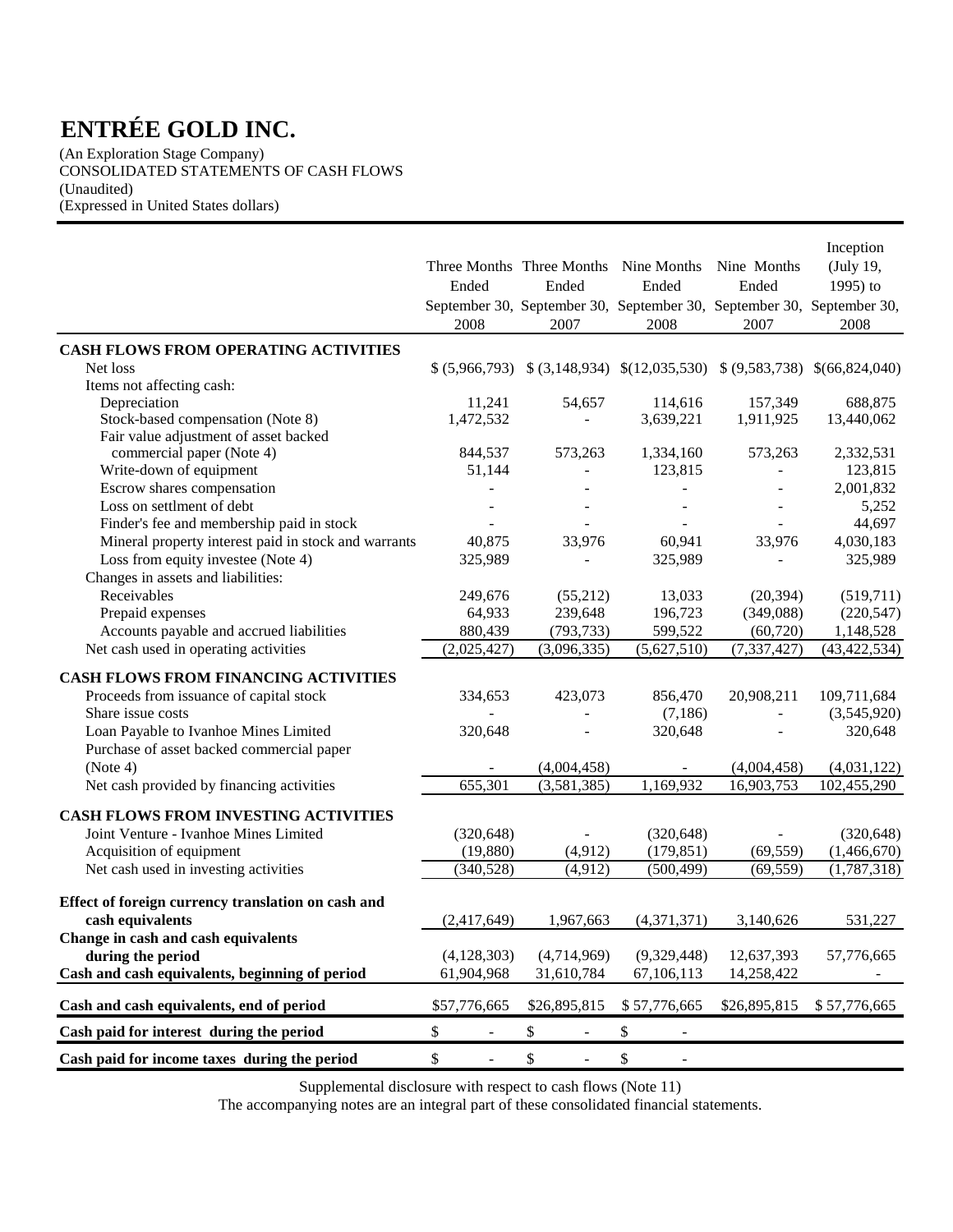(An Exploration Stage Company) CONSOLIDATED STATEMENTS OF CASH FLOWS (Unaudited) (Expressed in United States dollars)

|                                                      | Ended                              | Three Months Three Months<br>Ended<br>September 30, September 30, September 30, September 30, September 30, | Nine Months<br>Ended | Nine Months<br>Ended | Inception<br>(July 19,<br>1995) to |
|------------------------------------------------------|------------------------------------|-------------------------------------------------------------------------------------------------------------|----------------------|----------------------|------------------------------------|
|                                                      | 2008                               | 2007                                                                                                        | 2008                 | 2007                 | 2008                               |
| <b>CASH FLOWS FROM OPERATING ACTIVITIES</b>          |                                    |                                                                                                             |                      |                      |                                    |
| Net loss                                             |                                    | $$(5,966,793) \$ $$(3,148,934) \$ $$(12,035,530) \$ $$(9,583,738)$                                          |                      |                      | \$(66,824,040)                     |
| Items not affecting cash:                            |                                    |                                                                                                             |                      |                      |                                    |
| Depreciation                                         | 11,241                             | 54,657                                                                                                      | 114,616              | 157,349              | 688,875                            |
| Stock-based compensation (Note 8)                    | 1,472,532                          |                                                                                                             | 3,639,221            | 1,911,925            | 13,440,062                         |
| Fair value adjustment of asset backed                |                                    |                                                                                                             |                      |                      |                                    |
| commercial paper (Note 4)                            | 844,537                            | 573,263                                                                                                     | 1,334,160            | 573,263              | 2,332,531                          |
| Write-down of equipment                              | 51,144                             |                                                                                                             | 123,815              |                      | 123,815                            |
| Escrow shares compensation                           |                                    |                                                                                                             |                      |                      | 2,001,832                          |
| Loss on settlment of debt                            |                                    |                                                                                                             |                      |                      | 5,252                              |
| Finder's fee and membership paid in stock            |                                    |                                                                                                             |                      |                      | 44,697                             |
| Mineral property interest paid in stock and warrants | 40,875                             | 33,976                                                                                                      | 60,941               | 33,976               | 4,030,183                          |
| Loss from equity investee (Note 4)                   | 325,989                            |                                                                                                             | 325,989              |                      | 325,989                            |
| Changes in assets and liabilities:                   |                                    |                                                                                                             |                      |                      |                                    |
| Receivables                                          | 249,676                            | (55,212)                                                                                                    | 13,033               | (20, 394)            | (519,711)                          |
| Prepaid expenses                                     | 64,933                             | 239,648                                                                                                     | 196,723              | (349,088)            | (220, 547)                         |
| Accounts payable and accrued liabilities             | 880,439                            | (793, 733)                                                                                                  | 599,522              | (60, 720)            | 1,148,528                          |
| Net cash used in operating activities                | (2,025,427)                        | (3,096,335)                                                                                                 | (5,627,510)          | (7, 337, 427)        | (43, 422, 534)                     |
|                                                      |                                    |                                                                                                             |                      |                      |                                    |
| CASH FLOWS FROM FINANCING ACTIVITIES                 |                                    |                                                                                                             |                      |                      |                                    |
| Proceeds from issuance of capital stock              | 334,653                            | 423,073                                                                                                     | 856,470              | 20,908,211           | 109,711,684                        |
| Share issue costs                                    |                                    |                                                                                                             | (7,186)              |                      | (3,545,920)                        |
| Loan Payable to Ivanhoe Mines Limited                | 320,648                            |                                                                                                             | 320,648              |                      | 320,648                            |
| Purchase of asset backed commercial paper            |                                    |                                                                                                             |                      |                      |                                    |
| (Note 4)                                             |                                    | (4,004,458)                                                                                                 |                      | (4,004,458)          | (4,031,122)                        |
| Net cash provided by financing activities            | 655,301                            | (3,581,385)                                                                                                 | 1,169,932            | 16,903,753           | 102,455,290                        |
| <b>CASH FLOWS FROM INVESTING ACTIVITIES</b>          |                                    |                                                                                                             |                      |                      |                                    |
| Joint Venture - Ivanhoe Mines Limited                | (320, 648)                         |                                                                                                             | (320, 648)           |                      | (320, 648)                         |
| Acquisition of equipment                             | (19, 880)                          | (4,912)                                                                                                     | (179, 851)           | (69, 559)            | (1,466,670)                        |
| Net cash used in investing activities                | (340, 528)                         | (4,912)                                                                                                     | (500, 499)           | (69, 559)            | (1, 787, 318)                      |
|                                                      |                                    |                                                                                                             |                      |                      |                                    |
| Effect of foreign currency translation on cash and   |                                    |                                                                                                             |                      |                      |                                    |
| cash equivalents                                     | (2,417,649)                        | 1,967,663                                                                                                   | (4,371,371)          | 3,140,626            | 531,227                            |
| Change in cash and cash equivalents                  |                                    |                                                                                                             |                      |                      |                                    |
| during the period                                    | (4,128,303)                        | (4,714,969)                                                                                                 | (9,329,448)          | 12,637,393           | 57,776,665                         |
| Cash and cash equivalents, beginning of period       | 61,904,968                         | 31,610,784                                                                                                  | 67, 106, 113         | 14,258,422           |                                    |
|                                                      |                                    |                                                                                                             |                      |                      |                                    |
| Cash and cash equivalents, end of period             | \$57,776,665                       | \$26,895,815                                                                                                | \$57,776,665         | \$26,895,815         | \$57,776,665                       |
| Cash paid for interest during the period             | \$<br>$\overline{\phantom{a}}$     | \$<br>$\overline{\phantom{a}}$                                                                              | \$<br>$\blacksquare$ |                      |                                    |
| Cash paid for income taxes during the period         | \$<br>$\qquad \qquad \blacksquare$ | \$<br>$\overline{\phantom{a}}$                                                                              | \$                   |                      |                                    |

Supplemental disclosure with respect to cash flows (Note 11)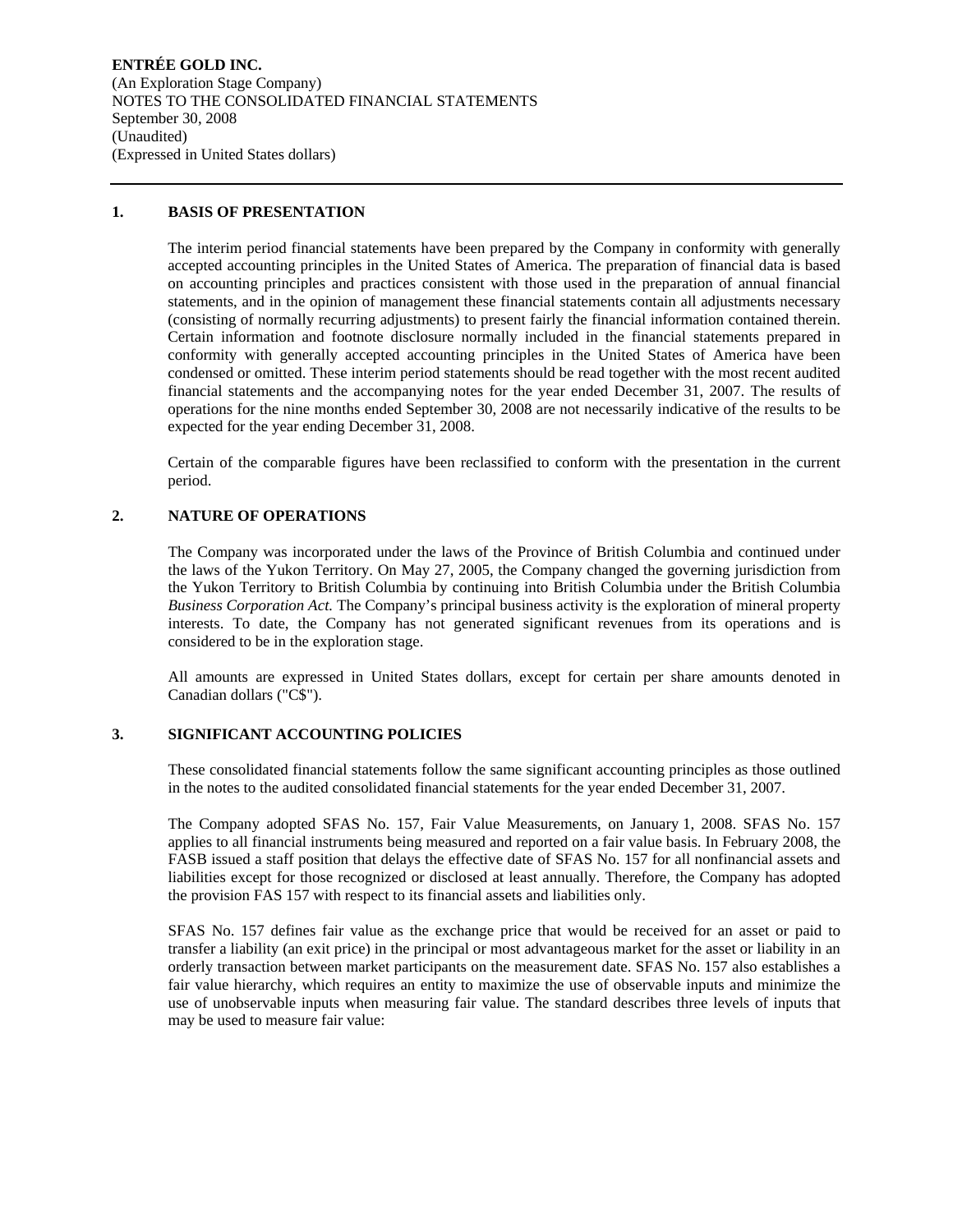**ENTRÉE GOLD INC.**  (An Exploration Stage Company) NOTES TO THE CONSOLIDATED FINANCIAL STATEMENTS September 30, 2008 (Unaudited) (Expressed in United States dollars)

### **1. BASIS OF PRESENTATION**

The interim period financial statements have been prepared by the Company in conformity with generally accepted accounting principles in the United States of America. The preparation of financial data is based on accounting principles and practices consistent with those used in the preparation of annual financial statements, and in the opinion of management these financial statements contain all adjustments necessary (consisting of normally recurring adjustments) to present fairly the financial information contained therein. Certain information and footnote disclosure normally included in the financial statements prepared in conformity with generally accepted accounting principles in the United States of America have been condensed or omitted. These interim period statements should be read together with the most recent audited financial statements and the accompanying notes for the year ended December 31, 2007. The results of operations for the nine months ended September 30, 2008 are not necessarily indicative of the results to be expected for the year ending December 31, 2008.

Certain of the comparable figures have been reclassified to conform with the presentation in the current period.

### **2. NATURE OF OPERATIONS**

The Company was incorporated under the laws of the Province of British Columbia and continued under the laws of the Yukon Territory. On May 27, 2005, the Company changed the governing jurisdiction from the Yukon Territory to British Columbia by continuing into British Columbia under the British Columbia *Business Corporation Act.* The Company's principal business activity is the exploration of mineral property interests. To date, the Company has not generated significant revenues from its operations and is considered to be in the exploration stage.

All amounts are expressed in United States dollars, except for certain per share amounts denoted in Canadian dollars ("C\$").

### **3. SIGNIFICANT ACCOUNTING POLICIES**

These consolidated financial statements follow the same significant accounting principles as those outlined in the notes to the audited consolidated financial statements for the year ended December 31, 2007.

The Company adopted SFAS No. 157, Fair Value Measurements, on January 1, 2008. SFAS No. 157 applies to all financial instruments being measured and reported on a fair value basis. In February 2008, the FASB issued a staff position that delays the effective date of SFAS No. 157 for all nonfinancial assets and liabilities except for those recognized or disclosed at least annually. Therefore, the Company has adopted the provision FAS 157 with respect to its financial assets and liabilities only.

SFAS No. 157 defines fair value as the exchange price that would be received for an asset or paid to transfer a liability (an exit price) in the principal or most advantageous market for the asset or liability in an orderly transaction between market participants on the measurement date. SFAS No. 157 also establishes a fair value hierarchy, which requires an entity to maximize the use of observable inputs and minimize the use of unobservable inputs when measuring fair value. The standard describes three levels of inputs that may be used to measure fair value: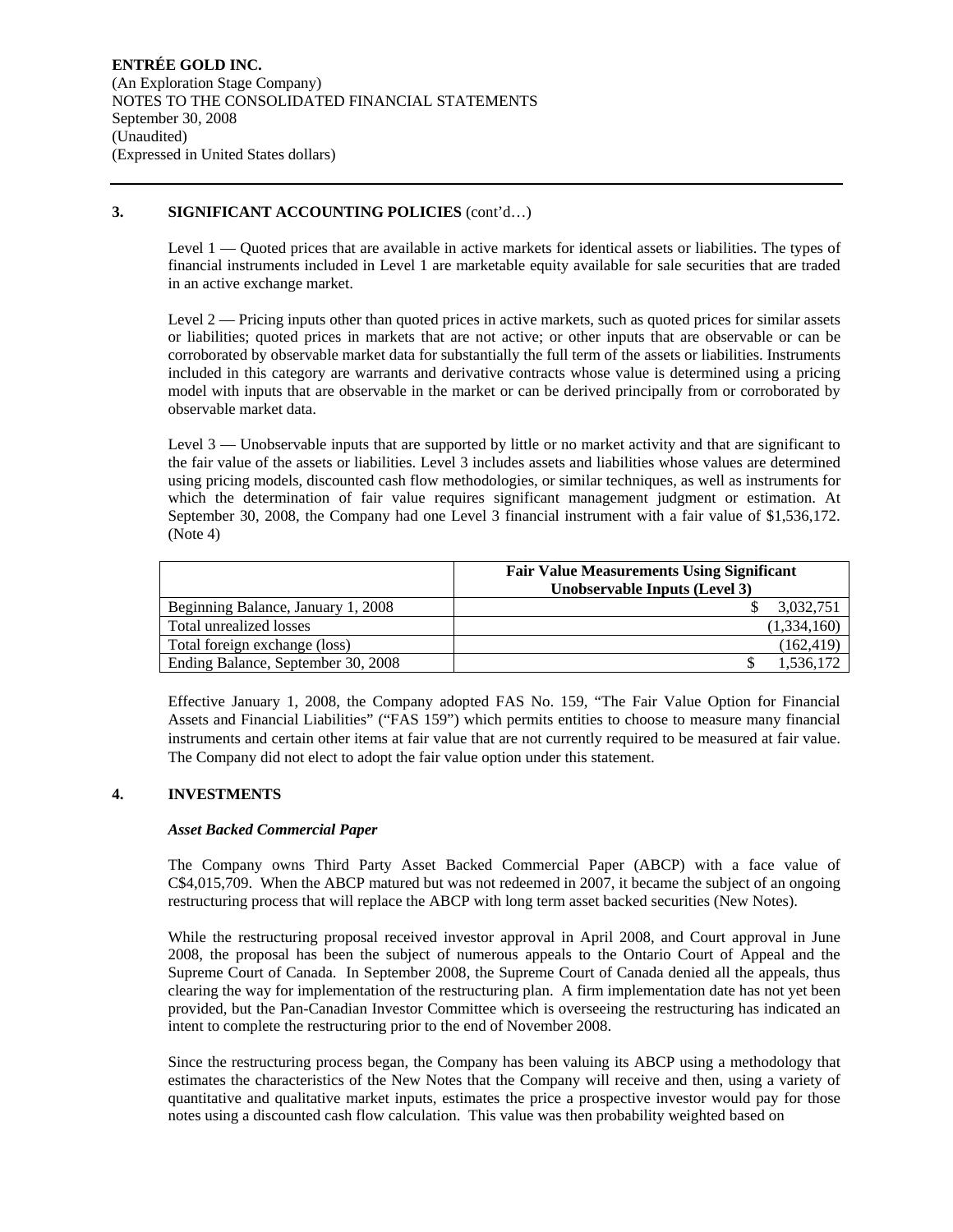### **3. SIGNIFICANT ACCOUNTING POLICIES** (cont'd…)

Level 1 — Quoted prices that are available in active markets for identical assets or liabilities. The types of financial instruments included in Level 1 are marketable equity available for sale securities that are traded in an active exchange market.

Level 2 — Pricing inputs other than quoted prices in active markets, such as quoted prices for similar assets or liabilities; quoted prices in markets that are not active; or other inputs that are observable or can be corroborated by observable market data for substantially the full term of the assets or liabilities. Instruments included in this category are warrants and derivative contracts whose value is determined using a pricing model with inputs that are observable in the market or can be derived principally from or corroborated by observable market data.

Level 3 — Unobservable inputs that are supported by little or no market activity and that are significant to the fair value of the assets or liabilities. Level 3 includes assets and liabilities whose values are determined using pricing models, discounted cash flow methodologies, or similar techniques, as well as instruments for which the determination of fair value requires significant management judgment or estimation. At September 30, 2008, the Company had one Level 3 financial instrument with a fair value of \$1,536,172. (Note 4)

|                                    | <b>Fair Value Measurements Using Significant</b><br>Unobservable Inputs (Level 3) |  |  |  |  |  |  |
|------------------------------------|-----------------------------------------------------------------------------------|--|--|--|--|--|--|
| Beginning Balance, January 1, 2008 | 3,032,751                                                                         |  |  |  |  |  |  |
| Total unrealized losses            | (1,334,160)                                                                       |  |  |  |  |  |  |
| Total foreign exchange (loss)      | (162, 419)                                                                        |  |  |  |  |  |  |
| Ending Balance, September 30, 2008 | .536,172                                                                          |  |  |  |  |  |  |

Effective January 1, 2008, the Company adopted FAS No. 159, "The Fair Value Option for Financial Assets and Financial Liabilities" ("FAS 159") which permits entities to choose to measure many financial instruments and certain other items at fair value that are not currently required to be measured at fair value. The Company did not elect to adopt the fair value option under this statement.

## **4. INVESTMENTS**

### *Asset Backed Commercial Paper*

The Company owns Third Party Asset Backed Commercial Paper (ABCP) with a face value of C\$4,015,709. When the ABCP matured but was not redeemed in 2007, it became the subject of an ongoing restructuring process that will replace the ABCP with long term asset backed securities (New Notes).

While the restructuring proposal received investor approval in April 2008, and Court approval in June 2008, the proposal has been the subject of numerous appeals to the Ontario Court of Appeal and the Supreme Court of Canada. In September 2008, the Supreme Court of Canada denied all the appeals, thus clearing the way for implementation of the restructuring plan. A firm implementation date has not yet been provided, but the Pan-Canadian Investor Committee which is overseeing the restructuring has indicated an intent to complete the restructuring prior to the end of November 2008.

Since the restructuring process began, the Company has been valuing its ABCP using a methodology that estimates the characteristics of the New Notes that the Company will receive and then, using a variety of quantitative and qualitative market inputs, estimates the price a prospective investor would pay for those notes using a discounted cash flow calculation. This value was then probability weighted based on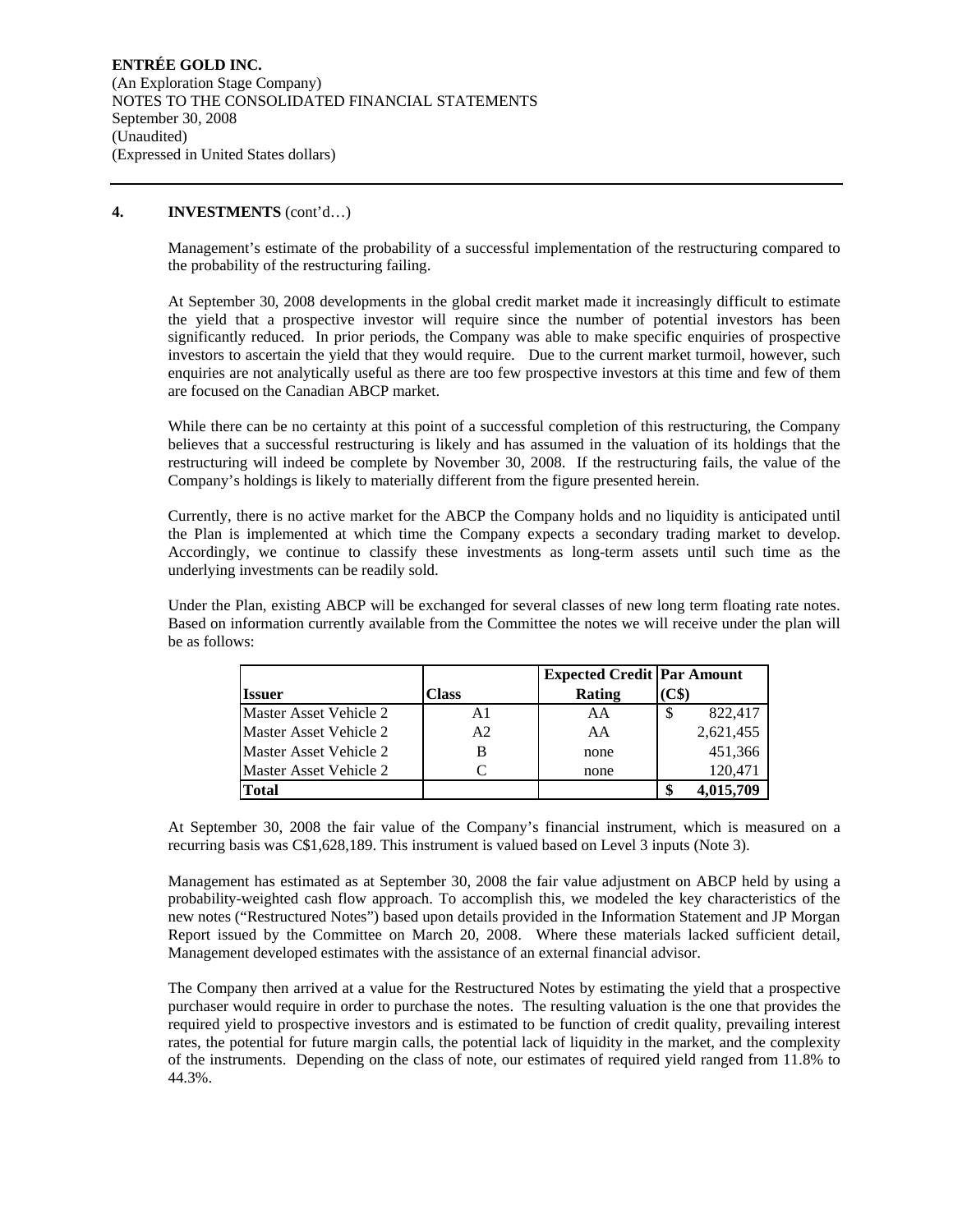### **4. INVESTMENTS** (cont'd…)

Management's estimate of the probability of a successful implementation of the restructuring compared to the probability of the restructuring failing.

At September 30, 2008 developments in the global credit market made it increasingly difficult to estimate the yield that a prospective investor will require since the number of potential investors has been significantly reduced. In prior periods, the Company was able to make specific enquiries of prospective investors to ascertain the yield that they would require. Due to the current market turmoil, however, such enquiries are not analytically useful as there are too few prospective investors at this time and few of them are focused on the Canadian ABCP market.

While there can be no certainty at this point of a successful completion of this restructuring, the Company believes that a successful restructuring is likely and has assumed in the valuation of its holdings that the restructuring will indeed be complete by November 30, 2008. If the restructuring fails, the value of the Company's holdings is likely to materially different from the figure presented herein.

Currently, there is no active market for the ABCP the Company holds and no liquidity is anticipated until the Plan is implemented at which time the Company expects a secondary trading market to develop. Accordingly, we continue to classify these investments as long-term assets until such time as the underlying investments can be readily sold.

Under the Plan, existing ABCP will be exchanged for several classes of new long term floating rate notes. Based on information currently available from the Committee the notes we will receive under the plan will be as follows:

|                        |                | <b>Expected Credit Par Amount</b> |                          |
|------------------------|----------------|-----------------------------------|--------------------------|
| <b>Issuer</b>          | Class          | Rating                            | $\mathbf{C}\mathbf{\$}$  |
| Master Asset Vehicle 2 | A1             | AA                                | 822,417<br><sup>\$</sup> |
| Master Asset Vehicle 2 | A <sub>2</sub> | AA                                | 2,621,455                |
| Master Asset Vehicle 2 | В              | none                              | 451,366                  |
| Master Asset Vehicle 2 |                | none                              | 120.471                  |
| <b>Total</b>           |                |                                   | 4,015,709                |

At September 30, 2008 the fair value of the Company's financial instrument, which is measured on a recurring basis was C\$1,628,189. This instrument is valued based on Level 3 inputs (Note 3).

Management has estimated as at September 30, 2008 the fair value adjustment on ABCP held by using a probability-weighted cash flow approach. To accomplish this, we modeled the key characteristics of the new notes ("Restructured Notes") based upon details provided in the Information Statement and JP Morgan Report issued by the Committee on March 20, 2008. Where these materials lacked sufficient detail, Management developed estimates with the assistance of an external financial advisor.

The Company then arrived at a value for the Restructured Notes by estimating the yield that a prospective purchaser would require in order to purchase the notes. The resulting valuation is the one that provides the required yield to prospective investors and is estimated to be function of credit quality, prevailing interest rates, the potential for future margin calls, the potential lack of liquidity in the market, and the complexity of the instruments. Depending on the class of note, our estimates of required yield ranged from 11.8% to 44.3%.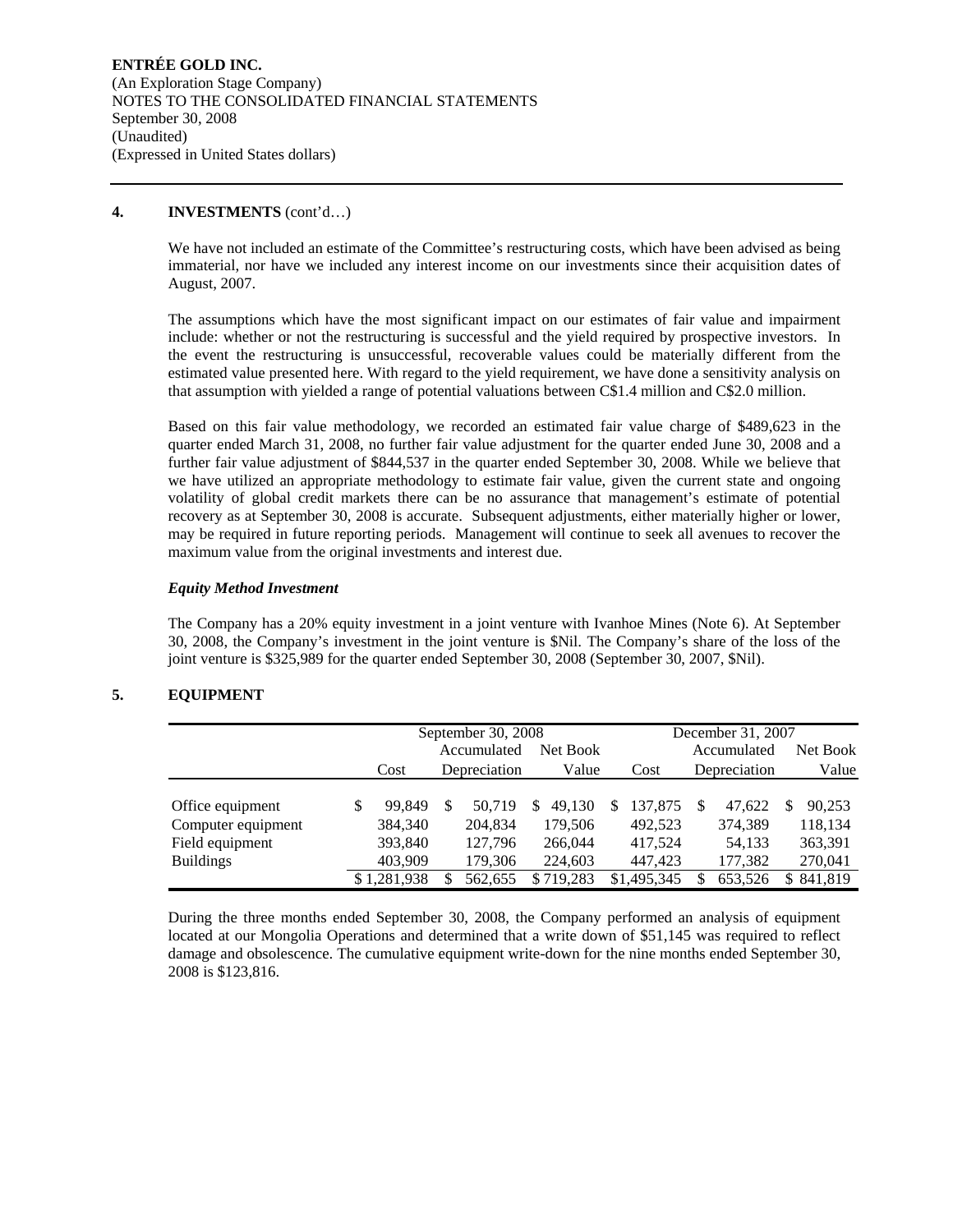### **4. INVESTMENTS** (cont'd…)

We have not included an estimate of the Committee's restructuring costs, which have been advised as being immaterial, nor have we included any interest income on our investments since their acquisition dates of August, 2007.

The assumptions which have the most significant impact on our estimates of fair value and impairment include: whether or not the restructuring is successful and the yield required by prospective investors. In the event the restructuring is unsuccessful, recoverable values could be materially different from the estimated value presented here. With regard to the yield requirement, we have done a sensitivity analysis on that assumption with yielded a range of potential valuations between C\$1.4 million and C\$2.0 million.

Based on this fair value methodology, we recorded an estimated fair value charge of \$489,623 in the quarter ended March 31, 2008, no further fair value adjustment for the quarter ended June 30, 2008 and a further fair value adjustment of \$844,537 in the quarter ended September 30, 2008. While we believe that we have utilized an appropriate methodology to estimate fair value, given the current state and ongoing volatility of global credit markets there can be no assurance that management's estimate of potential recovery as at September 30, 2008 is accurate. Subsequent adjustments, either materially higher or lower, may be required in future reporting periods. Management will continue to seek all avenues to recover the maximum value from the original investments and interest due.

### *Equity Method Investment*

The Company has a 20% equity investment in a joint venture with Ivanhoe Mines (Note 6). At September 30, 2008, the Company's investment in the joint venture is \$Nil. The Company's share of the loss of the joint venture is \$325,989 for the quarter ended September 30, 2008 (September 30, 2007, \$Nil).

## **5. EQUIPMENT**

|                    |   | September 30, 2008      |          |              |                    |   |             |             | December 31, 2007 |          |         |
|--------------------|---|-------------------------|----------|--------------|--------------------|---|-------------|-------------|-------------------|----------|---------|
|                    |   | Accumulated<br>Net Book |          |              |                    |   |             | Accumulated |                   | Net Book |         |
|                    |   | Cost                    |          | Depreciation | Value              |   | Cost        |             | Depreciation      |          | Value   |
|                    |   |                         |          |              |                    |   |             |             |                   |          |         |
| Office equipment   | S | 99.849                  | <b>S</b> | 50.719       | 49.130<br><b>S</b> | S | 137,875     | S           | 47.622            | S        | 90,253  |
| Computer equipment |   | 384,340                 |          | 204,834      | 179,506            |   | 492.523     |             | 374,389           |          | 118,134 |
| Field equipment    |   | 393,840                 |          | 127.796      | 266,044            |   | 417.524     |             | 54,133            |          | 363,391 |
| <b>Buildings</b>   |   | 403,909                 |          | 179,306      | 224,603            |   | 447,423     |             | 177,382           |          | 270,041 |
|                    |   | \$1.281.938             | S        | 562.655      | \$719.283          |   | \$1,495,345 |             | 653,526           | S.       | 841.819 |

During the three months ended September 30, 2008, the Company performed an analysis of equipment located at our Mongolia Operations and determined that a write down of \$51,145 was required to reflect damage and obsolescence. The cumulative equipment write-down for the nine months ended September 30, 2008 is \$123,816.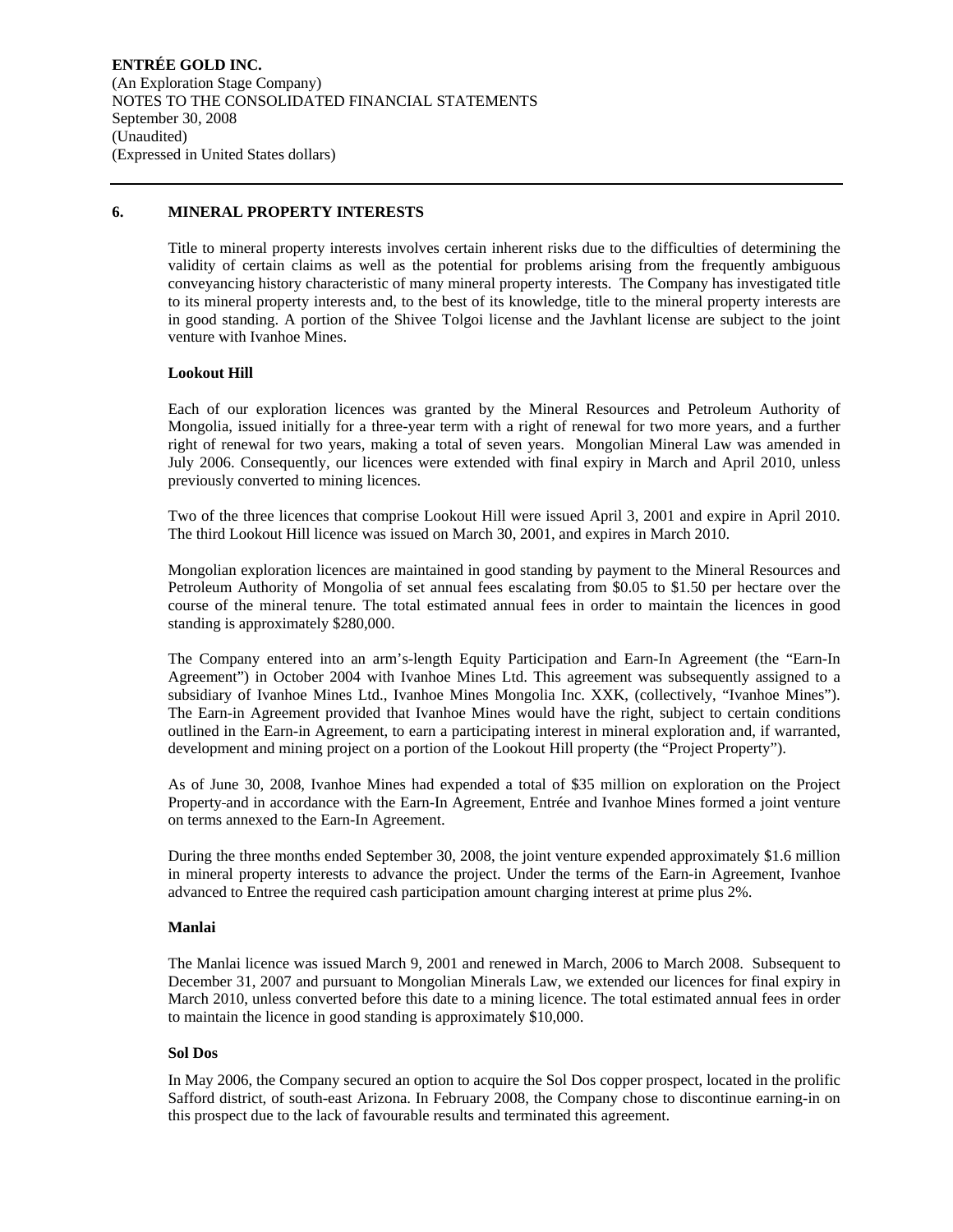### **6. MINERAL PROPERTY INTERESTS**

Title to mineral property interests involves certain inherent risks due to the difficulties of determining the validity of certain claims as well as the potential for problems arising from the frequently ambiguous conveyancing history characteristic of many mineral property interests. The Company has investigated title to its mineral property interests and, to the best of its knowledge, title to the mineral property interests are in good standing. A portion of the Shivee Tolgoi license and the Javhlant license are subject to the joint venture with Ivanhoe Mines.

### **Lookout Hill**

Each of our exploration licences was granted by the Mineral Resources and Petroleum Authority of Mongolia, issued initially for a three-year term with a right of renewal for two more years, and a further right of renewal for two years, making a total of seven years. Mongolian Mineral Law was amended in July 2006. Consequently, our licences were extended with final expiry in March and April 2010, unless previously converted to mining licences.

Two of the three licences that comprise Lookout Hill were issued April 3, 2001 and expire in April 2010. The third Lookout Hill licence was issued on March 30, 2001, and expires in March 2010.

Mongolian exploration licences are maintained in good standing by payment to the Mineral Resources and Petroleum Authority of Mongolia of set annual fees escalating from \$0.05 to \$1.50 per hectare over the course of the mineral tenure. The total estimated annual fees in order to maintain the licences in good standing is approximately \$280,000.

The Company entered into an arm's-length Equity Participation and Earn-In Agreement (the "Earn-In Agreement") in October 2004 with Ivanhoe Mines Ltd. This agreement was subsequently assigned to a subsidiary of Ivanhoe Mines Ltd., Ivanhoe Mines Mongolia Inc. XXK, (collectively, "Ivanhoe Mines"). The Earn-in Agreement provided that Ivanhoe Mines would have the right, subject to certain conditions outlined in the Earn-in Agreement, to earn a participating interest in mineral exploration and, if warranted, development and mining project on a portion of the Lookout Hill property (the "Project Property").

As of June 30, 2008, Ivanhoe Mines had expended a total of \$35 million on exploration on the Project Property and in accordance with the Earn-In Agreement, Entrée and Ivanhoe Mines formed a joint venture on terms annexed to the Earn-In Agreement.

During the three months ended September 30, 2008, the joint venture expended approximately \$1.6 million in mineral property interests to advance the project. Under the terms of the Earn-in Agreement, Ivanhoe advanced to Entree the required cash participation amount charging interest at prime plus 2%.

### **Manlai**

The Manlai licence was issued March 9, 2001 and renewed in March, 2006 to March 2008. Subsequent to December 31, 2007 and pursuant to Mongolian Minerals Law, we extended our licences for final expiry in March 2010, unless converted before this date to a mining licence. The total estimated annual fees in order to maintain the licence in good standing is approximately \$10,000.

### **Sol Dos**

In May 2006, the Company secured an option to acquire the Sol Dos copper prospect, located in the prolific Safford district, of south-east Arizona. In February 2008, the Company chose to discontinue earning-in on this prospect due to the lack of favourable results and terminated this agreement.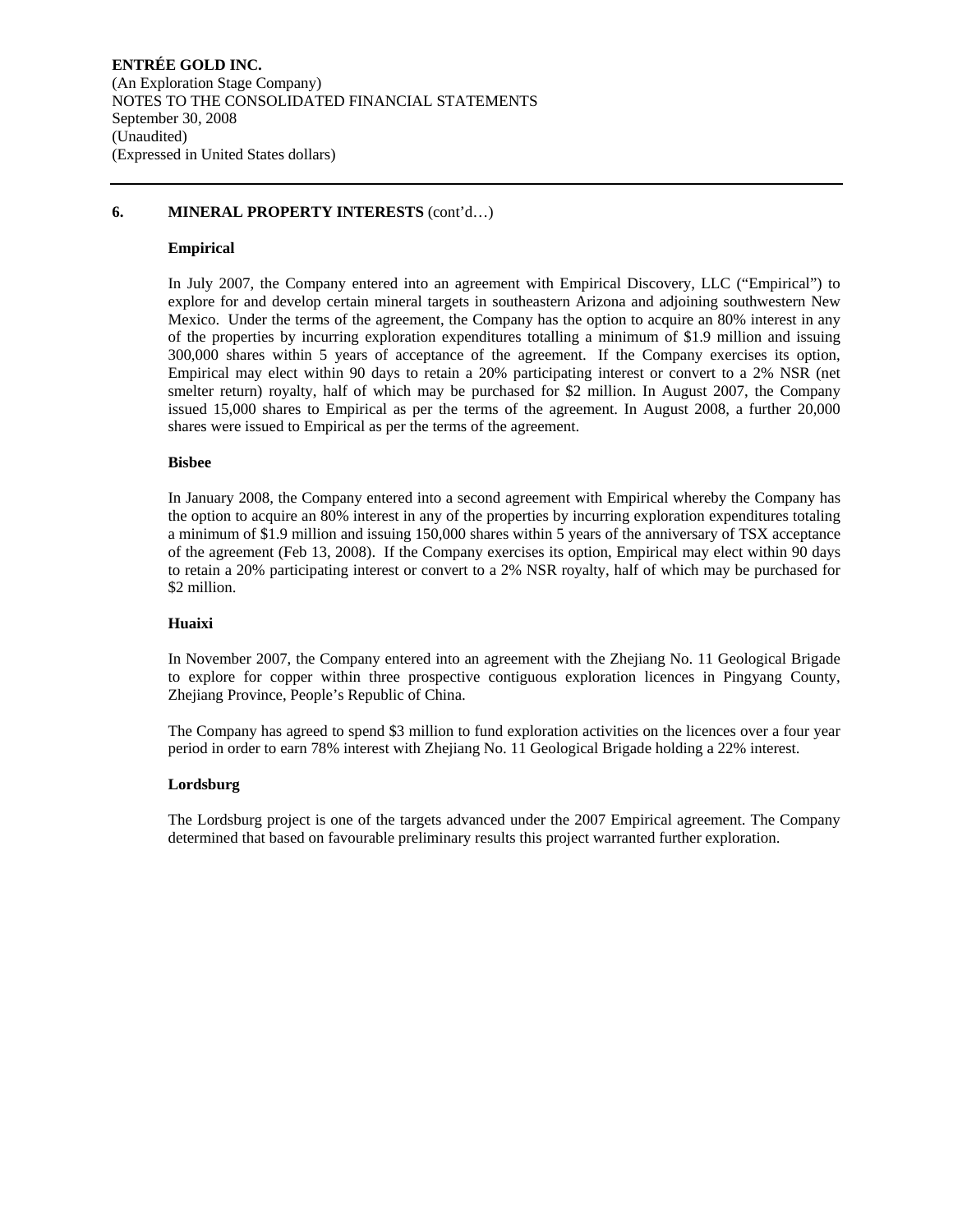### **6. MINERAL PROPERTY INTERESTS** (cont'd…)

### **Empirical**

In July 2007, the Company entered into an agreement with Empirical Discovery, LLC ("Empirical") to explore for and develop certain mineral targets in southeastern Arizona and adjoining southwestern New Mexico. Under the terms of the agreement, the Company has the option to acquire an 80% interest in any of the properties by incurring exploration expenditures totalling a minimum of \$1.9 million and issuing 300,000 shares within 5 years of acceptance of the agreement. If the Company exercises its option, Empirical may elect within 90 days to retain a 20% participating interest or convert to a 2% NSR (net smelter return) royalty, half of which may be purchased for \$2 million. In August 2007, the Company issued 15,000 shares to Empirical as per the terms of the agreement. In August 2008, a further 20,000 shares were issued to Empirical as per the terms of the agreement.

### **Bisbee**

In January 2008, the Company entered into a second agreement with Empirical whereby the Company has the option to acquire an 80% interest in any of the properties by incurring exploration expenditures totaling a minimum of \$1.9 million and issuing 150,000 shares within 5 years of the anniversary of TSX acceptance of the agreement (Feb 13, 2008). If the Company exercises its option, Empirical may elect within 90 days to retain a 20% participating interest or convert to a 2% NSR royalty, half of which may be purchased for \$2 million.

#### **Huaixi**

In November 2007, the Company entered into an agreement with the Zhejiang No. 11 Geological Brigade to explore for copper within three prospective contiguous exploration licences in Pingyang County, Zhejiang Province, People's Republic of China.

The Company has agreed to spend \$3 million to fund exploration activities on the licences over a four year period in order to earn 78% interest with Zhejiang No. 11 Geological Brigade holding a 22% interest.

### **Lordsburg**

The Lordsburg project is one of the targets advanced under the 2007 Empirical agreement. The Company determined that based on favourable preliminary results this project warranted further exploration.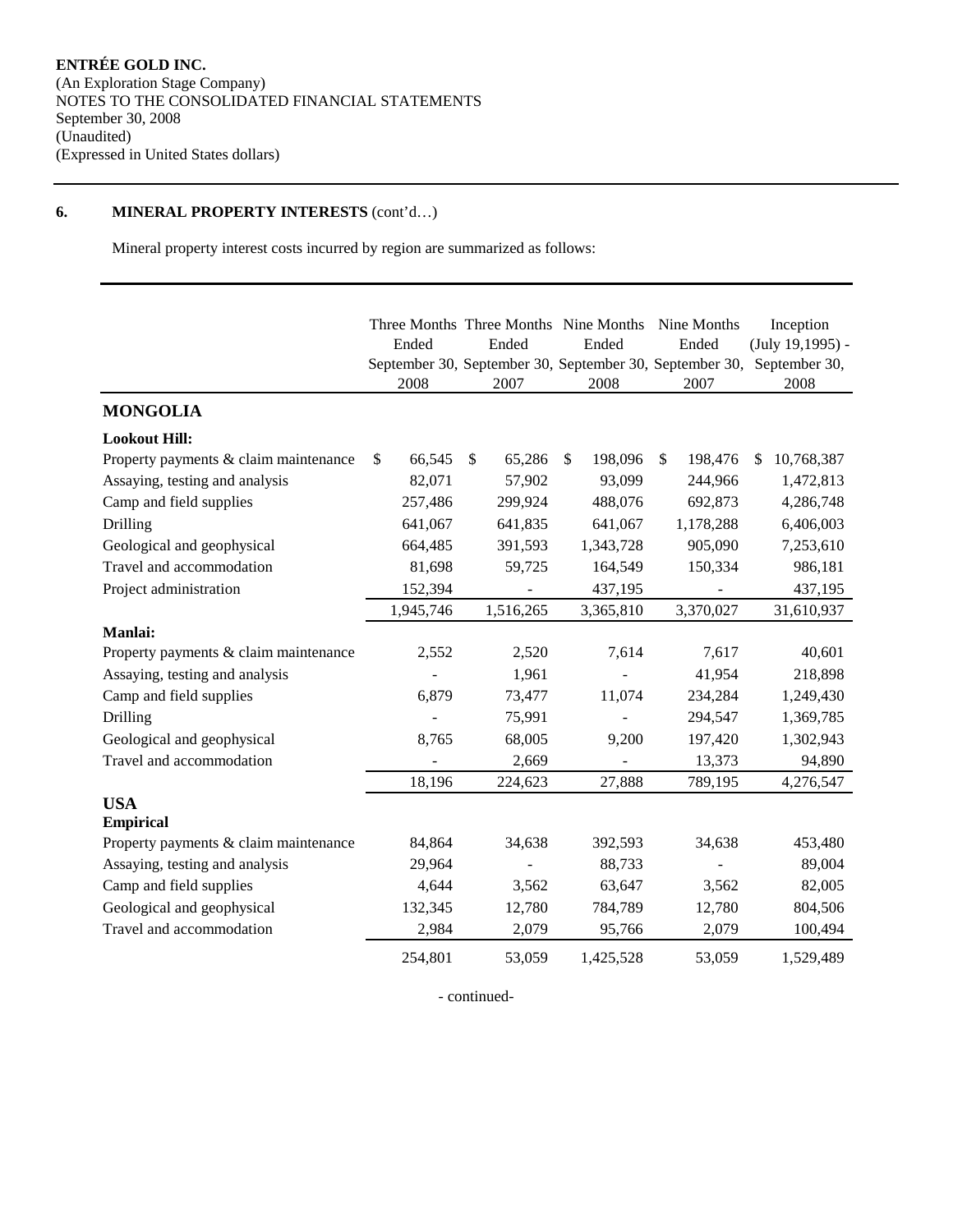# **6. MINERAL PROPERTY INTERESTS** (cont'd…)

Mineral property interest costs incurred by region are summarized as follows:

|                                       | Ended<br>2008 | Ended<br>2007 | Three Months Three Months Nine Months Nine Months<br>Ended<br>September 30, September 30, September 30, September 30,<br>2008 | Ended<br>2007 |    | Inception<br>$(July 19, 1995) -$<br>September 30,<br>2008 |
|---------------------------------------|---------------|---------------|-------------------------------------------------------------------------------------------------------------------------------|---------------|----|-----------------------------------------------------------|
| <b>MONGOLIA</b>                       |               |               |                                                                                                                               |               |    |                                                           |
| <b>Lookout Hill:</b>                  |               |               |                                                                                                                               |               |    |                                                           |
| Property payments & claim maintenance | \$<br>66,545  | \$<br>65,286  | \$<br>198,096                                                                                                                 | \$<br>198,476 | S. | 10,768,387                                                |
| Assaying, testing and analysis        | 82,071        | 57,902        | 93,099                                                                                                                        | 244,966       |    | 1,472,813                                                 |
| Camp and field supplies               | 257,486       | 299,924       | 488,076                                                                                                                       | 692,873       |    | 4,286,748                                                 |
| Drilling                              | 641,067       | 641,835       | 641,067                                                                                                                       | 1,178,288     |    | 6,406,003                                                 |
| Geological and geophysical            | 664,485       | 391,593       | 1,343,728                                                                                                                     | 905,090       |    | 7,253,610                                                 |
| Travel and accommodation              | 81,698        | 59,725        | 164,549                                                                                                                       | 150,334       |    | 986,181                                                   |
| Project administration                | 152,394       |               | 437,195                                                                                                                       |               |    | 437,195                                                   |
|                                       | 1,945,746     | 1,516,265     | 3,365,810                                                                                                                     | 3,370,027     |    | 31,610,937                                                |
| Manlai:                               |               |               |                                                                                                                               |               |    |                                                           |
| Property payments & claim maintenance | 2,552         | 2,520         | 7,614                                                                                                                         | 7,617         |    | 40,601                                                    |
| Assaying, testing and analysis        |               | 1,961         |                                                                                                                               | 41,954        |    | 218,898                                                   |
| Camp and field supplies               | 6,879         | 73,477        | 11,074                                                                                                                        | 234,284       |    | 1,249,430                                                 |
| Drilling                              |               | 75,991        |                                                                                                                               | 294,547       |    | 1,369,785                                                 |
| Geological and geophysical            | 8,765         | 68,005        | 9,200                                                                                                                         | 197,420       |    | 1,302,943                                                 |
| Travel and accommodation              |               | 2,669         |                                                                                                                               | 13,373        |    | 94,890                                                    |
|                                       | 18,196        | 224,623       | 27,888                                                                                                                        | 789,195       |    | 4,276,547                                                 |
| <b>USA</b><br><b>Empirical</b>        |               |               |                                                                                                                               |               |    |                                                           |
| Property payments & claim maintenance | 84,864        | 34,638        | 392,593                                                                                                                       | 34,638        |    | 453,480                                                   |
| Assaying, testing and analysis        | 29,964        |               | 88,733                                                                                                                        |               |    | 89,004                                                    |
| Camp and field supplies               | 4,644         | 3,562         | 63,647                                                                                                                        | 3,562         |    | 82,005                                                    |
| Geological and geophysical            | 132,345       | 12,780        | 784,789                                                                                                                       | 12,780        |    | 804,506                                                   |
| Travel and accommodation              | 2,984         | 2,079         | 95,766                                                                                                                        | 2,079         |    | 100,494                                                   |
|                                       | 254,801       | 53,059        | 1,425,528                                                                                                                     | 53,059        |    | 1,529,489                                                 |

- continued-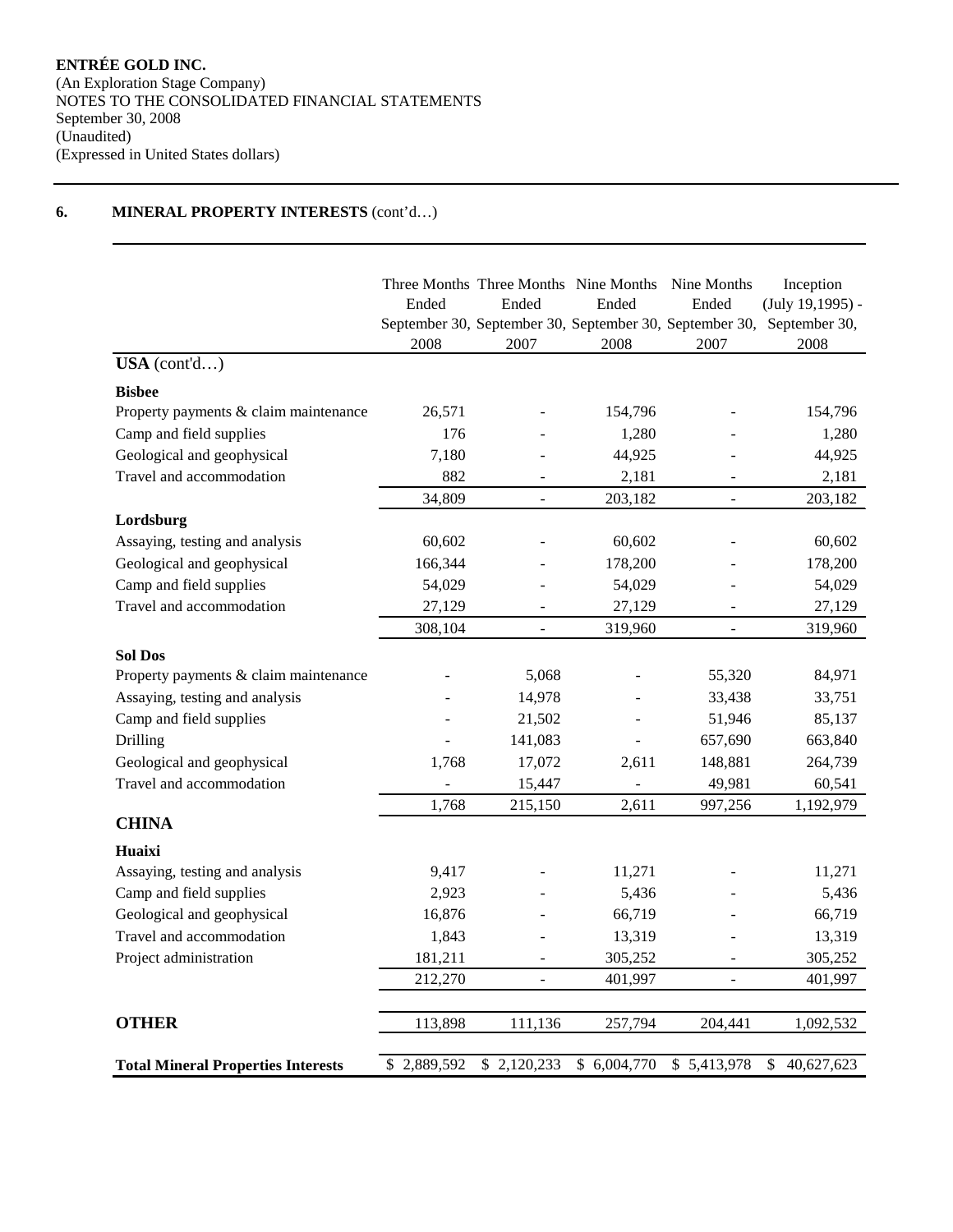# **6. MINERAL PROPERTY INTERESTS** (cont'd…)

| USA (cont'd)                              | Ended<br>2008   | Three Months Three Months Nine Months Nine Months<br>Ended<br>2007 | Ended<br>2008 | Ended<br>2007  | Inception<br>$(July 19, 1995) -$<br>September 30, September 30, September 30, September 30, September 30,<br>2008 |
|-------------------------------------------|-----------------|--------------------------------------------------------------------|---------------|----------------|-------------------------------------------------------------------------------------------------------------------|
|                                           |                 |                                                                    |               |                |                                                                                                                   |
| <b>Bisbee</b>                             |                 |                                                                    |               |                |                                                                                                                   |
| Property payments & claim maintenance     | 26,571          |                                                                    | 154,796       |                | 154,796                                                                                                           |
| Camp and field supplies                   | 176             |                                                                    | 1,280         |                | 1,280                                                                                                             |
| Geological and geophysical                | 7,180           | L,                                                                 | 44,925        |                | 44,925                                                                                                            |
| Travel and accommodation                  | 882             |                                                                    | 2,181         |                | 2,181                                                                                                             |
|                                           | 34,809          | $\overline{a}$                                                     | 203,182       | $\overline{a}$ | 203,182                                                                                                           |
| Lordsburg                                 |                 |                                                                    |               |                |                                                                                                                   |
| Assaying, testing and analysis            | 60,602          |                                                                    | 60,602        |                | 60,602                                                                                                            |
| Geological and geophysical                | 166,344         |                                                                    | 178,200       |                | 178,200                                                                                                           |
| Camp and field supplies                   | 54,029          | $\overline{a}$                                                     | 54,029        |                | 54,029                                                                                                            |
| Travel and accommodation                  | 27,129          | $\overline{a}$                                                     | 27,129        |                | 27,129                                                                                                            |
|                                           | 308,104         | $\overline{a}$                                                     | 319,960       | $\overline{a}$ | 319,960                                                                                                           |
| <b>Sol Dos</b>                            |                 |                                                                    |               |                |                                                                                                                   |
| Property payments & claim maintenance     |                 | 5,068                                                              |               | 55,320         | 84,971                                                                                                            |
| Assaying, testing and analysis            |                 | 14,978                                                             |               | 33,438         | 33,751                                                                                                            |
| Camp and field supplies                   |                 | 21,502                                                             |               | 51,946         | 85,137                                                                                                            |
| Drilling                                  |                 | 141,083                                                            | L             | 657,690        | 663,840                                                                                                           |
| Geological and geophysical                | 1,768           | 17,072                                                             | 2,611         | 148,881        | 264,739                                                                                                           |
| Travel and accommodation                  |                 | 15,447                                                             |               | 49,981         | 60,541                                                                                                            |
|                                           | 1,768           | 215,150                                                            | 2,611         | 997,256        | 1,192,979                                                                                                         |
| <b>CHINA</b>                              |                 |                                                                    |               |                |                                                                                                                   |
| Huaixi                                    |                 |                                                                    |               |                |                                                                                                                   |
| Assaying, testing and analysis            | 9,417           |                                                                    | 11,271        |                | 11,271                                                                                                            |
| Camp and field supplies                   | 2,923           |                                                                    | 5,436         |                | 5,436                                                                                                             |
| Geological and geophysical                | 16,876          |                                                                    | 66,719        |                | 66,719                                                                                                            |
| Travel and accommodation                  | 1,843           |                                                                    | 13,319        |                | 13,319                                                                                                            |
| Project administration                    | 181,211         | ÷.                                                                 | 305,252       | ۳              | 305,252                                                                                                           |
|                                           | 212,270         | $\overline{a}$                                                     | 401,997       | ÷,             | 401,997                                                                                                           |
|                                           |                 |                                                                    |               |                |                                                                                                                   |
| <b>OTHER</b>                              | 113,898         | 111,136                                                            | 257,794       | 204,441        | 1,092,532                                                                                                         |
| <b>Total Mineral Properties Interests</b> | 2,889,592<br>\$ | \$2,120,233                                                        | \$6,004,770   | \$5,413,978    | \$<br>40,627,623                                                                                                  |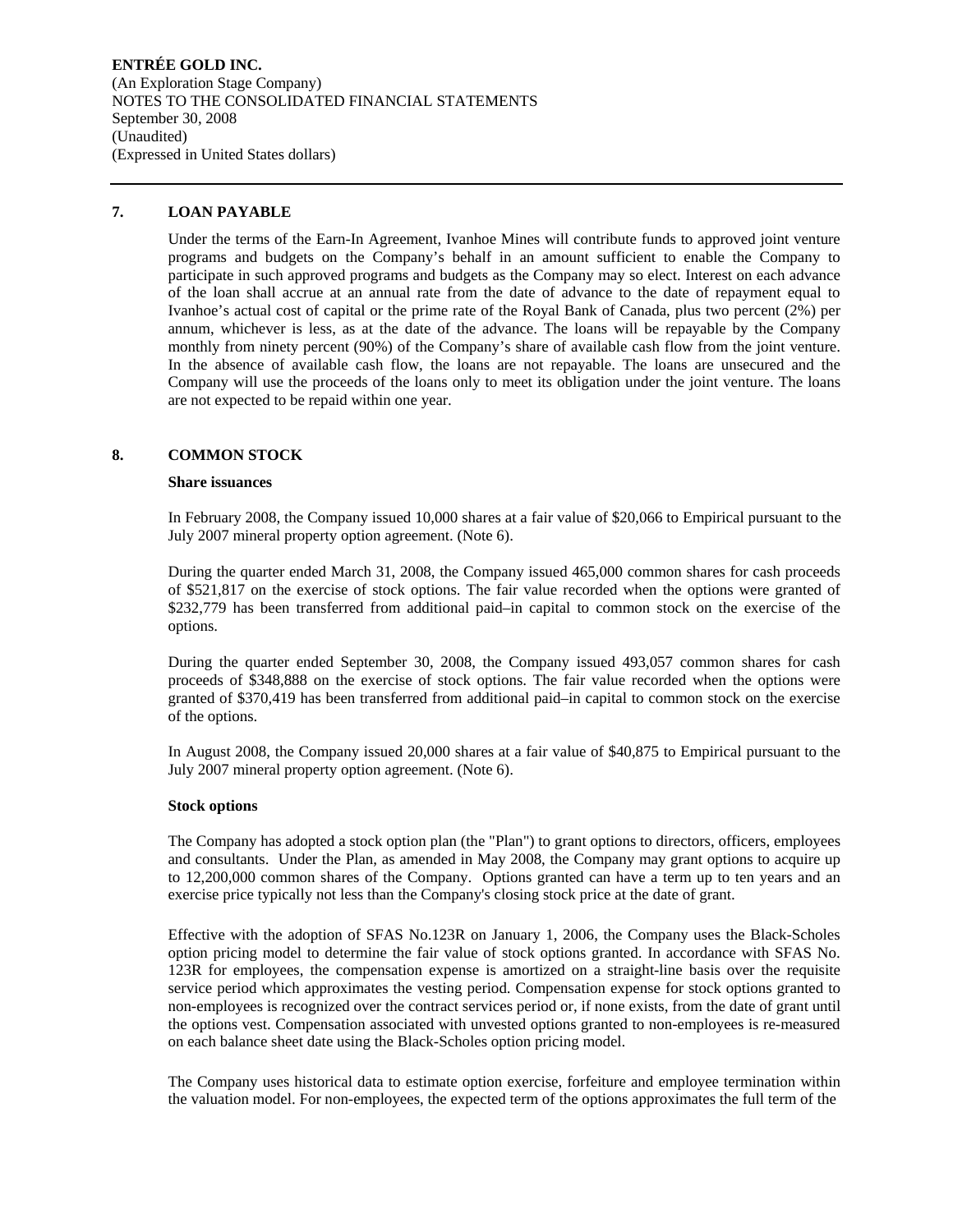### **ENTRÉE GOLD INC.**  (An Exploration Stage Company) NOTES TO THE CONSOLIDATED FINANCIAL STATEMENTS September 30, 2008 (Unaudited) (Expressed in United States dollars)

### **7. LOAN PAYABLE**

Under the terms of the Earn-In Agreement, Ivanhoe Mines will contribute funds to approved joint venture programs and budgets on the Company's behalf in an amount sufficient to enable the Company to participate in such approved programs and budgets as the Company may so elect. Interest on each advance of the loan shall accrue at an annual rate from the date of advance to the date of repayment equal to Ivanhoe's actual cost of capital or the prime rate of the Royal Bank of Canada, plus two percent (2%) per annum, whichever is less, as at the date of the advance. The loans will be repayable by the Company monthly from ninety percent (90%) of the Company's share of available cash flow from the joint venture. In the absence of available cash flow, the loans are not repayable. The loans are unsecured and the Company will use the proceeds of the loans only to meet its obligation under the joint venture. The loans are not expected to be repaid within one year.

### **8. COMMON STOCK**

### **Share issuances**

In February 2008, the Company issued 10,000 shares at a fair value of \$20,066 to Empirical pursuant to the July 2007 mineral property option agreement. (Note 6).

During the quarter ended March 31, 2008, the Company issued 465,000 common shares for cash proceeds of \$521,817 on the exercise of stock options. The fair value recorded when the options were granted of \$232,779 has been transferred from additional paid–in capital to common stock on the exercise of the options.

During the quarter ended September 30, 2008, the Company issued 493,057 common shares for cash proceeds of \$348,888 on the exercise of stock options. The fair value recorded when the options were granted of \$370,419 has been transferred from additional paid–in capital to common stock on the exercise of the options.

In August 2008, the Company issued 20,000 shares at a fair value of \$40,875 to Empirical pursuant to the July 2007 mineral property option agreement. (Note 6).

### **Stock options**

The Company has adopted a stock option plan (the "Plan") to grant options to directors, officers, employees and consultants. Under the Plan, as amended in May 2008, the Company may grant options to acquire up to 12,200,000 common shares of the Company. Options granted can have a term up to ten years and an exercise price typically not less than the Company's closing stock price at the date of grant.

Effective with the adoption of SFAS No.123R on January 1, 2006, the Company uses the Black-Scholes option pricing model to determine the fair value of stock options granted. In accordance with SFAS No. 123R for employees, the compensation expense is amortized on a straight-line basis over the requisite service period which approximates the vesting period. Compensation expense for stock options granted to non-employees is recognized over the contract services period or, if none exists, from the date of grant until the options vest. Compensation associated with unvested options granted to non-employees is re-measured on each balance sheet date using the Black-Scholes option pricing model.

The Company uses historical data to estimate option exercise, forfeiture and employee termination within the valuation model. For non-employees, the expected term of the options approximates the full term of the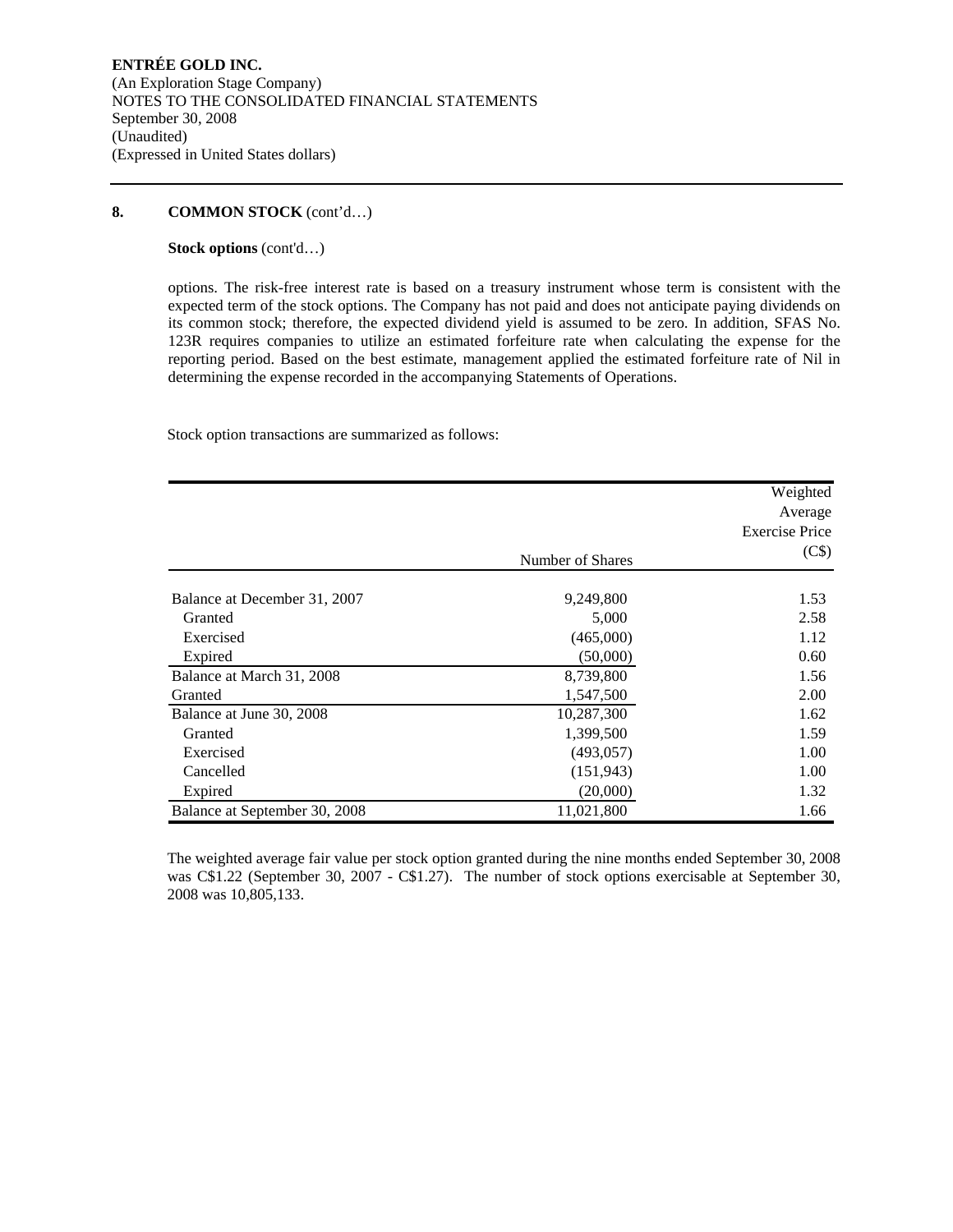### **8. COMMON STOCK** (cont'd…)

**Stock options** (cont'd…)

options. The risk-free interest rate is based on a treasury instrument whose term is consistent with the expected term of the stock options. The Company has not paid and does not anticipate paying dividends on its common stock; therefore, the expected dividend yield is assumed to be zero. In addition, SFAS No. 123R requires companies to utilize an estimated forfeiture rate when calculating the expense for the reporting period. Based on the best estimate, management applied the estimated forfeiture rate of Nil in determining the expense recorded in the accompanying Statements of Operations.

Stock option transactions are summarized as follows:

|                               |                  | Weighted<br>Average<br><b>Exercise Price</b> |
|-------------------------------|------------------|----------------------------------------------|
|                               | Number of Shares | (C\$)                                        |
| Balance at December 31, 2007  | 9,249,800        | 1.53                                         |
| Granted                       | 5,000            | 2.58                                         |
| Exercised                     | (465,000)        | 1.12                                         |
| Expired                       | (50,000)         | 0.60                                         |
| Balance at March 31, 2008     | 8,739,800        | 1.56                                         |
| Granted                       | 1,547,500        | 2.00                                         |
| Balance at June 30, 2008      | 10,287,300       | 1.62                                         |
| Granted                       | 1,399,500        | 1.59                                         |
| Exercised                     | (493, 057)       | 1.00                                         |
| Cancelled                     | (151, 943)       | 1.00                                         |
| Expired                       | (20,000)         | 1.32                                         |
| Balance at September 30, 2008 | 11,021,800       | 1.66                                         |

The weighted average fair value per stock option granted during the nine months ended September 30, 2008 was C\$1.22 (September 30, 2007 - C\$1.27). The number of stock options exercisable at September 30, 2008 was 10,805,133.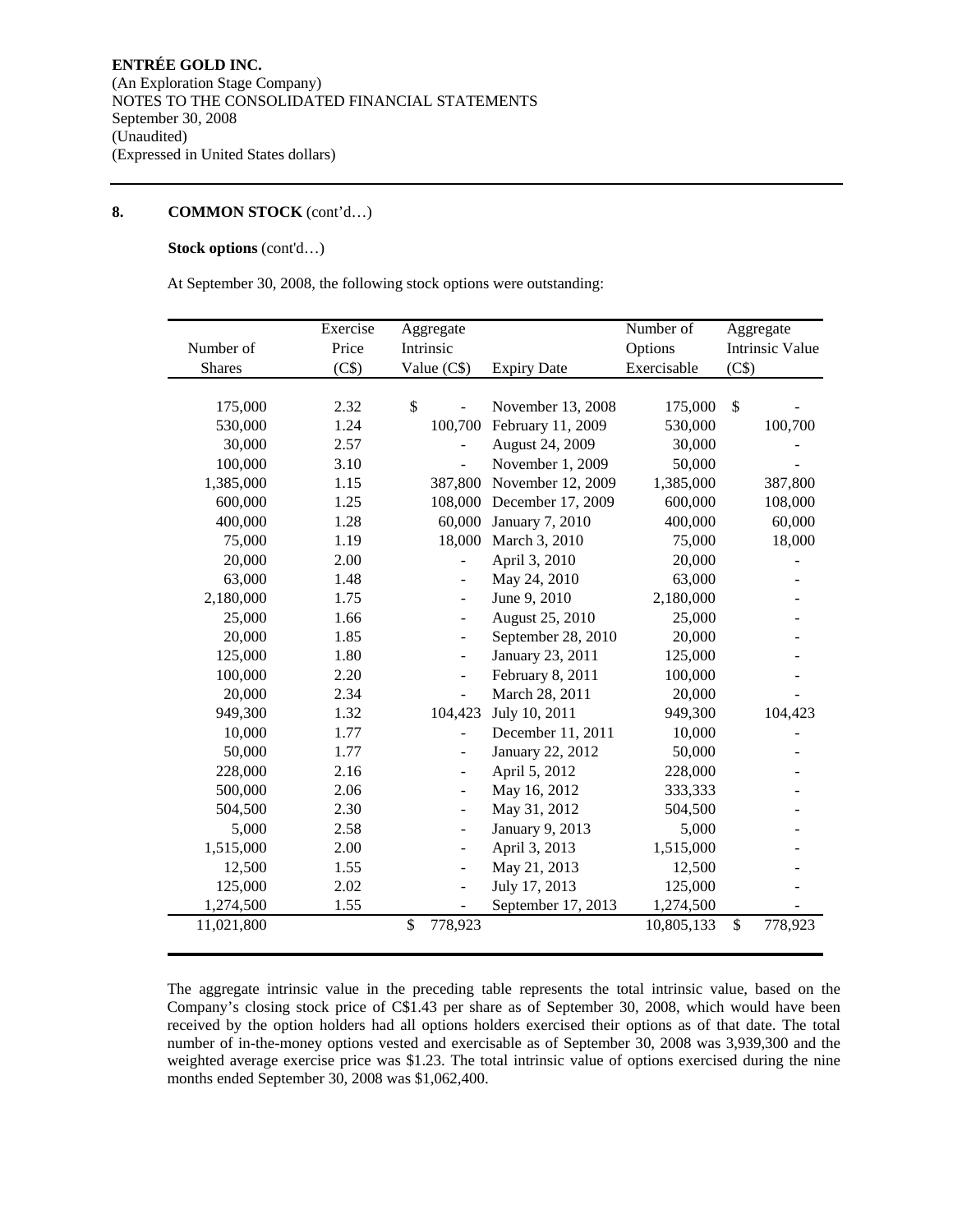### **8. COMMON STOCK** (cont'd…)

# **Stock options** (cont'd…)

At September 30, 2008, the following stock options were outstanding:

|               | Exercise | Aggregate                    |                    | Number of   | Aggregate              |
|---------------|----------|------------------------------|--------------------|-------------|------------------------|
| Number of     | Price    | Intrinsic                    |                    | Options     | <b>Intrinsic Value</b> |
| <b>Shares</b> | (C\$)    | Value (C\$)                  | <b>Expiry Date</b> | Exercisable | (C\$)                  |
|               |          |                              |                    |             |                        |
| 175,000       | 2.32     | \$                           | November 13, 2008  | 175,000     | $\mathbb{S}$           |
| 530,000       | 1.24     | 100,700                      | February 11, 2009  | 530,000     | 100,700                |
| 30,000        | 2.57     |                              | August 24, 2009    | 30,000      |                        |
| 100,000       | 3.10     | $\overline{a}$               | November 1, 2009   | 50,000      |                        |
| 1,385,000     | 1.15     | 387,800                      | November 12, 2009  | 1,385,000   | 387,800                |
| 600,000       | 1.25     | 108,000                      | December 17, 2009  | 600,000     | 108,000                |
| 400,000       | 1.28     | 60,000                       | January 7, 2010    | 400,000     | 60,000                 |
| 75,000        | 1.19     | 18,000                       | March 3, 2010      | 75,000      | 18,000                 |
| 20,000        | 2.00     |                              | April 3, 2010      | 20,000      |                        |
| 63,000        | 1.48     | $\qquad \qquad \blacksquare$ | May 24, 2010       | 63,000      |                        |
| 2,180,000     | 1.75     | $\overline{a}$               | June 9, 2010       | 2,180,000   |                        |
| 25,000        | 1.66     | $\qquad \qquad \blacksquare$ | August 25, 2010    | 25,000      |                        |
| 20,000        | 1.85     | $\qquad \qquad \blacksquare$ | September 28, 2010 | 20,000      |                        |
| 125,000       | 1.80     | $\qquad \qquad \blacksquare$ | January 23, 2011   | 125,000     |                        |
| 100,000       | 2.20     | $\blacksquare$               | February 8, 2011   | 100,000     |                        |
| 20,000        | 2.34     |                              | March 28, 2011     | 20,000      |                        |
| 949,300       | 1.32     | 104,423                      | July 10, 2011      | 949,300     | 104,423                |
| 10,000        | 1.77     | $\overline{a}$               | December 11, 2011  | 10,000      |                        |
| 50,000        | 1.77     | $\frac{1}{2}$                | January 22, 2012   | 50,000      |                        |
| 228,000       | 2.16     | $\blacksquare$               | April 5, 2012      | 228,000     |                        |
| 500,000       | 2.06     | $\qquad \qquad \blacksquare$ | May 16, 2012       | 333,333     |                        |
| 504,500       | 2.30     | $\blacksquare$               | May 31, 2012       | 504,500     |                        |
| 5,000         | 2.58     |                              | January 9, 2013    | 5,000       |                        |
| 1,515,000     | 2.00     | $\qquad \qquad \blacksquare$ | April 3, 2013      | 1,515,000   |                        |
| 12,500        | 1.55     | $\blacksquare$               | May 21, 2013       | 12,500      |                        |
| 125,000       | 2.02     | $\qquad \qquad \blacksquare$ | July 17, 2013      | 125,000     |                        |
| 1,274,500     | 1.55     |                              | September 17, 2013 | 1,274,500   |                        |
| 11,021,800    |          | \$<br>778,923                |                    | 10,805,133  | \$<br>778,923          |
|               |          |                              |                    |             |                        |

The aggregate intrinsic value in the preceding table represents the total intrinsic value, based on the Company's closing stock price of C\$1.43 per share as of September 30, 2008, which would have been received by the option holders had all options holders exercised their options as of that date. The total number of in-the-money options vested and exercisable as of September 30, 2008 was 3,939,300 and the weighted average exercise price was \$1.23. The total intrinsic value of options exercised during the nine months ended September 30, 2008 was \$1,062,400.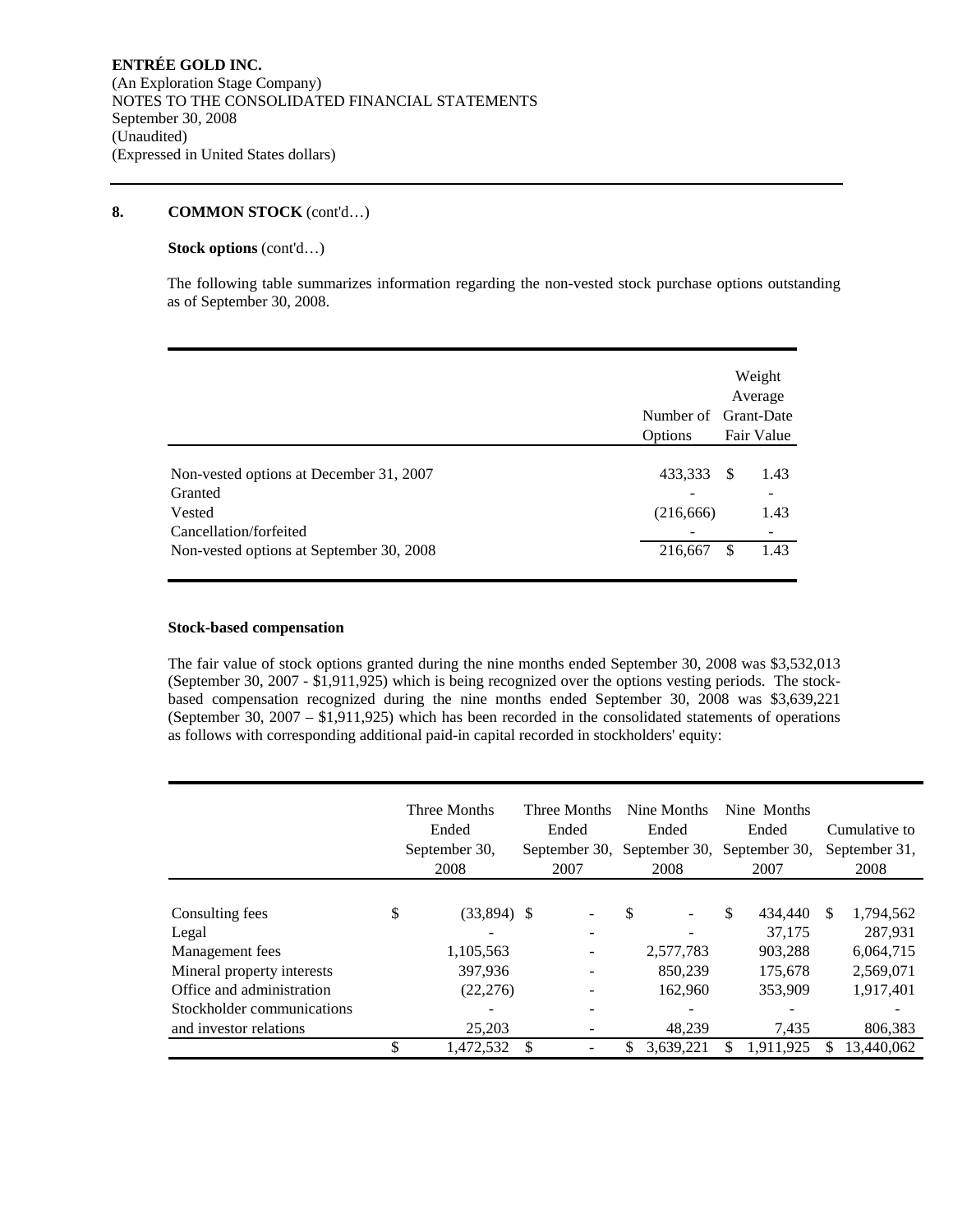### **8. COMMON STOCK** (cont'd…)

## **Stock options** (cont'd…)

The following table summarizes information regarding the non-vested stock purchase options outstanding as of September 30, 2008.

|                                                                                                                                    | Number of Grant-Date<br>Options  | Weight<br>Average<br>Fair Value             |
|------------------------------------------------------------------------------------------------------------------------------------|----------------------------------|---------------------------------------------|
| Non-vested options at December 31, 2007<br>Granted<br>Vested<br>Cancellation/forfeited<br>Non-vested options at September 30, 2008 | 433,333<br>(216, 666)<br>216,667 | 1.43<br>-S<br>-<br>1.43<br>1.43<br><b>S</b> |

### **Stock-based compensation**

The fair value of stock options granted during the nine months ended September 30, 2008 was \$3,532,013 (September 30, 2007 - \$1,911,925) which is being recognized over the options vesting periods. The stockbased compensation recognized during the nine months ended September 30, 2008 was \$3,639,221 (September 30, 2007 – \$1,911,925) which has been recorded in the consolidated statements of operations as follows with corresponding additional paid-in capital recorded in stockholders' equity:

|                            | Three Months<br>Ended<br>September 30,<br>2008 | Three Months<br>Ended<br>2007 | Nine Months<br>Ended<br>September 30, September 30,<br>2008 | Nine Months<br>Ended<br>September 30,<br>2007 | Cumulative to<br>September 31,<br>2008 |
|----------------------------|------------------------------------------------|-------------------------------|-------------------------------------------------------------|-----------------------------------------------|----------------------------------------|
|                            |                                                |                               |                                                             |                                               |                                        |
| Consulting fees            | \$<br>$(33,894)$ \$                            |                               | \$                                                          | \$<br>434,440                                 | \$<br>1,794,562                        |
| Legal                      |                                                |                               |                                                             | 37.175                                        | 287.931                                |
| Management fees            | 1,105,563                                      |                               | 2,577,783                                                   | 903.288                                       | 6.064.715                              |
| Mineral property interests | 397,936                                        |                               | 850.239                                                     | 175,678                                       | 2,569,071                              |
| Office and administration  | (22, 276)                                      |                               | 162,960                                                     | 353,909                                       | 1,917,401                              |
| Stockholder communications |                                                |                               |                                                             |                                               |                                        |
| and investor relations     | 25,203                                         |                               | 48,239                                                      | 7,435                                         | 806,383                                |
|                            | 1,472,532                                      |                               | 3,639,221                                                   | 1,911,925                                     | 13,440,062                             |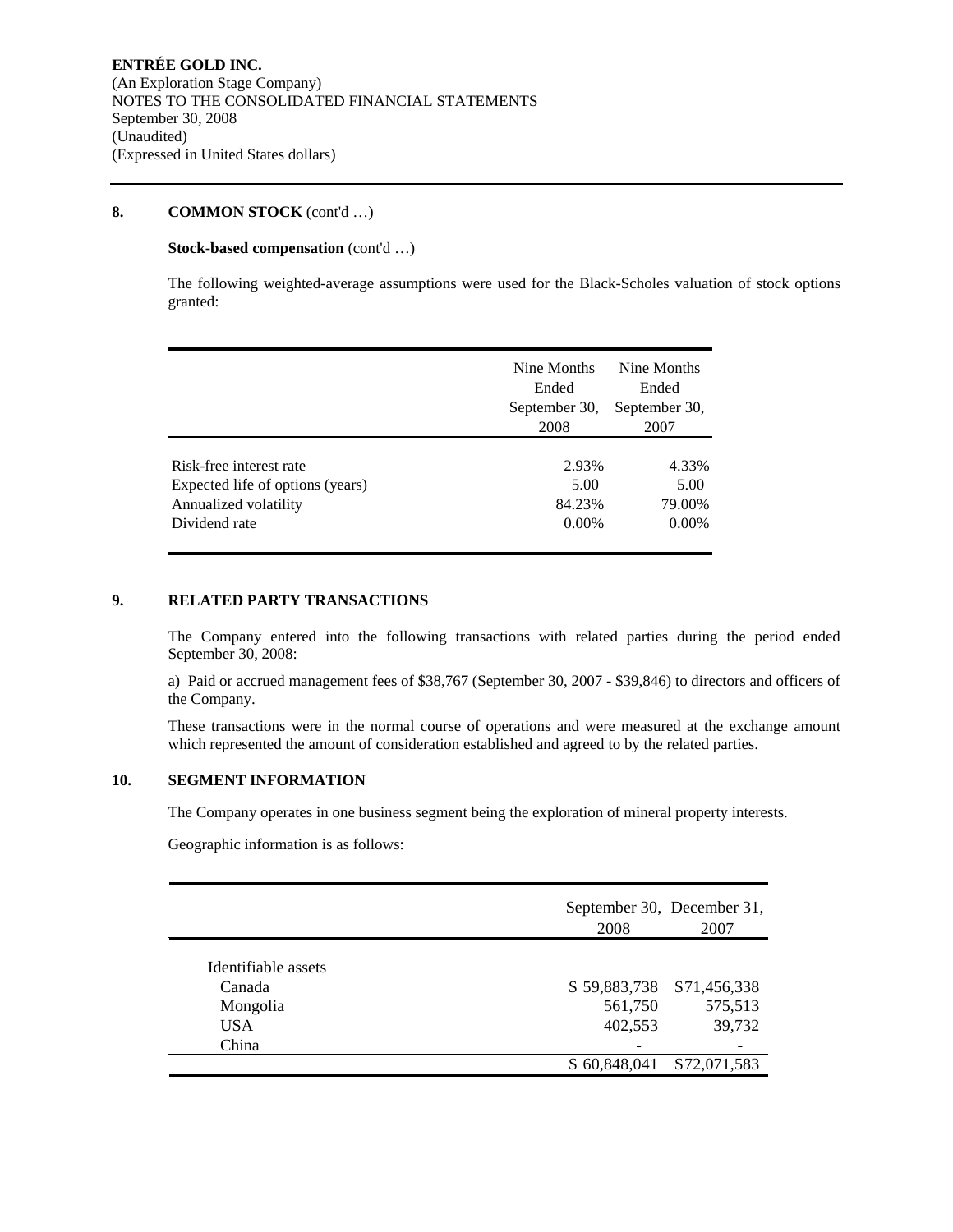### **8. COMMON STOCK** (cont'd …)

### **Stock-based compensation** (cont'd …)

The following weighted-average assumptions were used for the Black-Scholes valuation of stock options granted:

|                                  | Nine Months<br>Ended<br>September 30,<br>2008 | Nine Months<br>Ended<br>September 30,<br>2007 |
|----------------------------------|-----------------------------------------------|-----------------------------------------------|
| Risk-free interest rate          | 2.93%                                         | 4.33%                                         |
| Expected life of options (years) | 5.00                                          | 5.00                                          |
| Annualized volatility            | 84.23%                                        | 79.00%                                        |
| Dividend rate                    | $0.00\%$                                      | $0.00\%$                                      |

### **9. RELATED PARTY TRANSACTIONS**

The Company entered into the following transactions with related parties during the period ended September 30, 2008:

a) Paid or accrued management fees of \$38,767 (September 30, 2007 - \$39,846) to directors and officers of the Company.

These transactions were in the normal course of operations and were measured at the exchange amount which represented the amount of consideration established and agreed to by the related parties.

# **10. SEGMENT INFORMATION**

The Company operates in one business segment being the exploration of mineral property interests.

Geographic information is as follows:

|                     | September 30, December 31,<br>2008 | 2007         |
|---------------------|------------------------------------|--------------|
| Identifiable assets |                                    |              |
| Canada              | \$59,883,738                       | \$71,456,338 |
|                     | 561,750                            | 575,513      |
| Mongolia            |                                    |              |
| <b>USA</b>          | 402,553                            | 39,732       |
| China               |                                    |              |
|                     | \$60,848,041                       | \$72,071,583 |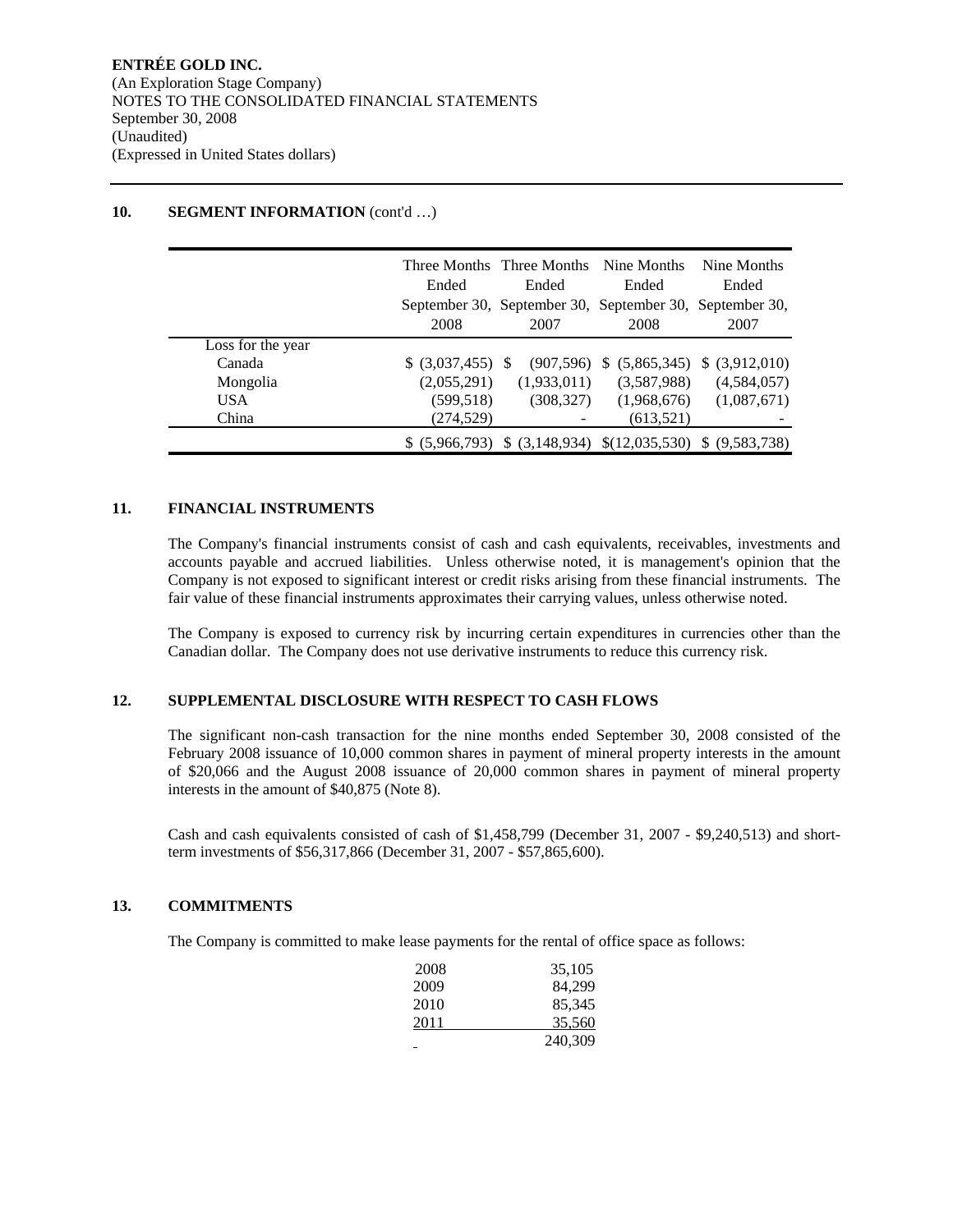|                   |                    | Three Months Three Months Nine Months                   |                                            | Nine Months    |
|-------------------|--------------------|---------------------------------------------------------|--------------------------------------------|----------------|
|                   | Ended              | Ended                                                   | Ended                                      | Ended          |
|                   |                    | September 30, September 30, September 30, September 30, |                                            |                |
|                   | 2008               | 2007                                                    | 2008                                       | 2007           |
| Loss for the year |                    |                                                         |                                            |                |
| Canada            | $$ (3,037,455)$ \; | (907, 596)                                              | (5,865,345)<br>S.                          | \$ (3,912,010) |
| Mongolia          | (2,055,291)        | (1,933,011)                                             | (3,587,988)                                | (4,584,057)    |
| <b>USA</b>        | (599, 518)         | (308, 327)                                              | (1,968,676)                                | (1,087,671)    |
| China             | (274, 529)         |                                                         | (613, 521)                                 |                |
|                   | \$ (5,966,793)     |                                                         | $(3,148,934)$ $(12,035,530)$ $(9,583,738)$ |                |

# **10. SEGMENT INFORMATION** (cont'd ...)

### **11. FINANCIAL INSTRUMENTS**

The Company's financial instruments consist of cash and cash equivalents, receivables, investments and accounts payable and accrued liabilities. Unless otherwise noted, it is management's opinion that the Company is not exposed to significant interest or credit risks arising from these financial instruments. The fair value of these financial instruments approximates their carrying values, unless otherwise noted.

The Company is exposed to currency risk by incurring certain expenditures in currencies other than the Canadian dollar. The Company does not use derivative instruments to reduce this currency risk.

### **12. SUPPLEMENTAL DISCLOSURE WITH RESPECT TO CASH FLOWS**

The significant non-cash transaction for the nine months ended September 30, 2008 consisted of the February 2008 issuance of 10,000 common shares in payment of mineral property interests in the amount of \$20,066 and the August 2008 issuance of 20,000 common shares in payment of mineral property interests in the amount of \$40,875 (Note 8).

Cash and cash equivalents consisted of cash of \$1,458,799 (December 31, 2007 - \$9,240,513) and shortterm investments of \$56,317,866 (December 31, 2007 - \$57,865,600).

### **13. COMMITMENTS**

The Company is committed to make lease payments for the rental of office space as follows:

| 2008 | 35,105  |
|------|---------|
| 2009 | 84.299  |
| 2010 | 85,345  |
| 2011 | 35.560  |
|      | 240,309 |